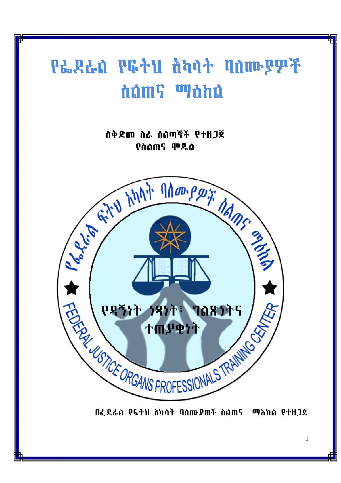# **Րե..Զե.մ Բն... ծեղ ծեղ է մատարարդարդ** dûm? <sup>w</sup>ohû

ስቅድመ ስራ ሰልጣኛች የተዘጋጀ **Châms ሞጁል** 



በፌደራስ የፍትህ ሸካሳት ባስሙያወች ስስጠና ማእከስ የተዘጋጀ

 $\mathbf{1}$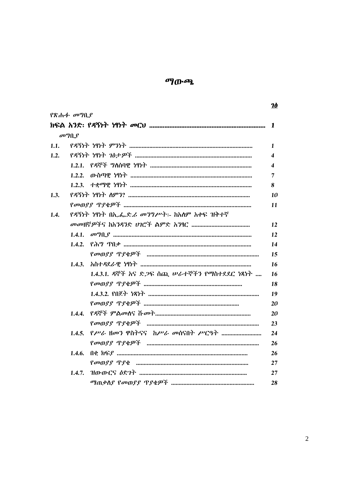# ማውጫ

|      |                          |                                                     | <u>Ið</u>               |
|------|--------------------------|-----------------------------------------------------|-------------------------|
|      | የጽሑፉ <i>መግ</i> ቢያ        |                                                     |                         |
|      |                          |                                                     | 1                       |
|      | $\sigma$ <sup>o</sup> ng |                                                     |                         |
|      |                          |                                                     | $\mathbf{1}$            |
| 1.2. |                          |                                                     | $\overline{\mathbf{4}}$ |
|      |                          |                                                     | $\overline{\mathbf{4}}$ |
|      |                          |                                                     | 7                       |
|      |                          |                                                     | 8                       |
| 1.3. |                          |                                                     | 10                      |
|      |                          |                                                     | 11                      |
| 1.4. |                          | የዳኝነት ነፃነት በኢ.ፌ.ድ.ሪ መንግሥት፡- ከአለም አቀፍ ዝቅተኛ           |                         |
|      |                          |                                                     |                         |
|      |                          |                                                     | 12                      |
|      |                          |                                                     | 14                      |
|      |                          |                                                     | 15                      |
|      |                          |                                                     | 16                      |
|      |                          | 1.4.3.1. ዳኞች አና ድ <i>ጋ</i> ፍ ሰጪ ሥራተኞችን የማስተደደር ነጻነት | 16                      |
|      |                          |                                                     | 18                      |
|      |                          |                                                     | 19                      |
|      |                          |                                                     | 20                      |
|      |                          |                                                     | 20                      |
|      |                          |                                                     | 23                      |
|      |                          |                                                     | 24                      |
|      |                          |                                                     | 26                      |
|      | 1.4.6.                   |                                                     | 26                      |
|      |                          |                                                     | 27                      |
|      | 1.4.7.                   |                                                     | 27                      |
|      |                          |                                                     | 28                      |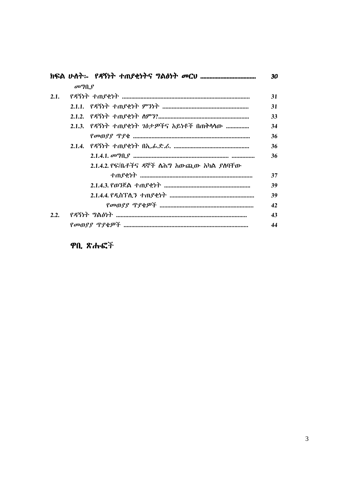|      |                                       |                                         | 30 |
|------|---------------------------------------|-----------------------------------------|----|
|      | $\sigma$ <sup>o</sup> $\eta$ $\theta$ |                                         |    |
| 2.1. |                                       |                                         |    |
|      |                                       |                                         | 31 |
|      |                                       |                                         | 33 |
|      |                                       | 2.1.3. የዳኝነት ተጠያቂነት ገፅታዎችና አይነቶች በጠቅሳሳው | 34 |
|      |                                       |                                         | 36 |
|      |                                       |                                         | 36 |
|      |                                       |                                         | 36 |
|      |                                       | 2.1.4.2. የፍ/ቤቶችና ዳኞች ስሕግ አውጪው አካል ያሰባቸው |    |
|      |                                       |                                         | 37 |
|      |                                       |                                         | 39 |
|      |                                       |                                         | 39 |
|      |                                       |                                         | 42 |
| 2.2. |                                       |                                         |    |
|      |                                       |                                         | 44 |

ዋቢ ጽሑፎች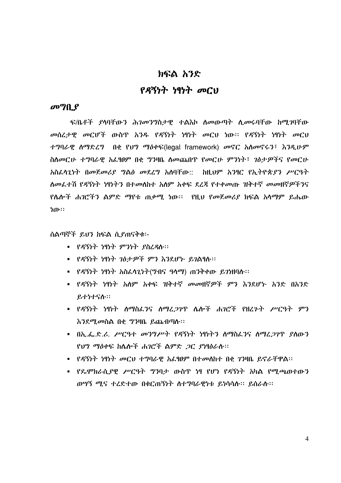# ክፍል አንድ

# የዳኝነት ነፃነት መርህ

# $\sigma$ <sup>o</sup> $\eta$   $\theta$

ፍ/ቤቶች ያሳባቸውን ሕ*ገመንግ*ስታዊ ተልእኮ ስመውጣት ሲመሩባቸው ከሚገባቸው መሰረታዊ መርሆች ውስጥ አንዱ የዳኝነት ነፃነት መርህ ነው፡፡ የዳኝነት ነፃነት መርህ ተግባራዊ ስማድረግ በቂ የህግ ማዕቀፍ(legal framework) መኖር አስመኖሩን፣ እንዲሁም ስለመርሁ ተግባራዊ አፌፃፀም በቂ ግንዛቤ ለመጨበጥ የመርሁ ምንነት፣ ገፅታዎችና የመርሁ <u>አስፌላጊነት በመጀመሪያ ግልፅ መደሪግ አለባቸው::- ከዚህም አንፃር የኢትዮጵያን ሥርዓት </u> ስመፌተሽ የዳኝነት ነፃነትን በተመሰከተ አስም አቀፍ ደረጃ የተቀመጡ ዝቅተኛ መመዘኛዎችንና የሴሎች ሐገሮችን ልምድ ማየቱ ጠቃሚ ነው። የዚህ የመጀመሪያ ክፍል አሳማም ይሔው ነው።

ሰልጣኞች ይህን ከፍል ሲያጠናቅቁ፡-

- የዳኝነት ነፃነት ምንነት ያስረዳሉ፡፡
- የዳኝነት ነፃነት ገፅታዎች ምን እንደሆኑ ይገልፃሉ፡፡
- የዳኝነት ነፃነት አስፌላጊነት(ግብና ዓላማ) ጠንቅቀው ይገነዘባሉ፡፡
- የዳኝነት ነፃነት አለም አቀፍ ዝቅተኛ መመዘኛዎች ምን እንደሆኑ አንድ በአንድ ይተነተናሱ።
- የዳኝነት ነፃነት ስማስፌንና ስማፈ*ጋገ*ጥ ሴሎች ሐ*ገ*ሮች የዘረ*ጉት ሥርዓት ምን* እንደሚመስል በቂ ግንዛቤ ይጨብጣሉ።
- በኢ.ፌ.ድ.ሪ. ሥርዓተ መንግሥት የዳኝነት ነፃነትን ስማስፌንና ስማረ*ጋገ*ዋ ያስውን የህግ ማስቀፍ ከሌሎች ሐገሮች ልምድ *ጋር ያነ*ፃፅራሱ፡፡
- የዳኝነት ነፃነት መርህ ተግባራዊ አፌፃፀም በተመለከተ በቂ ገንዛቤ ይኖራቸዋል፡፡
- የዴሞክራሲያዊ ሥርዓት ግንባታ ውስጥ ነፃ የሆነ የዳኝነት አካል የሚጫወተውን ወሣኝ ሚና ተረድተው በቁርጠኝነት ስተግባራዊነቱ ይነሳሳሱ፡፡ ይሰራሱ፡፡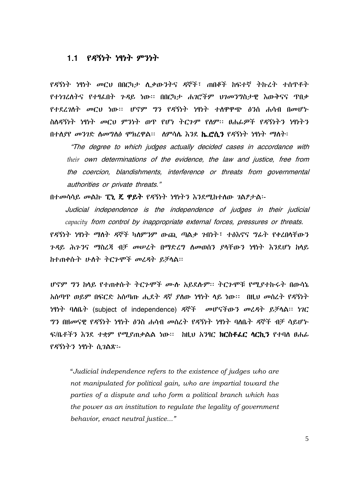# 1.1 *የዳ*ኝነት ነፃነት ምንነት

የዳኝነት ነፃነት መርህ በበርካታ ሲቃውንትና ዳኞች፣ ጠበቆች ከፍተኛ ትኩረት ተሰጥቶት የተነገረሰትና የተፃፌበት ጉዳይ ነው። በበርካታ ሐገሮችም ህገመንግስታዊ እውቅናና ጥበቃ የተደረገሰት መርህ ነው። ሆኖም ግን የዳኝነት ነፃነት ተሰዋዋጭ ፅንሰ ሐሳብ በመሆኑ ስለዳኝነት ነፃነት መርህ ምንነት ወዋ የሆነ ትርጉም የለም፡፡ ፀሐፊዎች የዳኝነትን ነፃነትን በተለያየ መንገድ ስመግስፅ ሞክረዋል። ሰምሳሴ እንደ **ኬ.ሮሲን** የዳኝነት ነፃነት ማስት፡

"The degree to which judges actually decided cases in accordance with their own determinations of the evidence, the law and justice, free from the coercion, blandishments, interference or threats from governmental authorities or private threats."

በተመሳሳይ መልኩ **ፒኒ ጄ ዋይት** የዳኝነት ነፃነትን እንደሚከተሰው *ገ*ልፆታል፡-

Judicial independence is the independence of judges in their judicial capacity from control by inappropriate external forces, pressures or threats. <u>የዳኝነት ነፃነት ማለት ዳኞች ካለምንም ውጪ ጣልቃ ንብነት፣ ተፅእኖና ግራት የቀረበሳቸውን</u> *ጉዳ*ይ ሕን፡ንና ማስረጃ ብቻ መሠረት በማድረግ ስመወሰን ያሳቸውን ነፃነት እንደሆነ ከላይ ከተጠቀሱት ሁለት ትርጉሞች መረዳት ይቻላል።

ሆኖም ግን ከላይ የተጠቀሱት ትርጉሞች ሙሉ አይደሱም፡፡ ትርጉሞቹ የሚያተኩሩት በውሳኔ አሰጣዋ ወይም በፍርድ አሰጣጡ ሒደት ዳኛ ያስው ነፃነት ላይ ነው። በዚህ መሰረት የዳኝነት ነባነት ባለቤት (subject of independence) ዳኞች መሆናችውን መሬዳት ይቻላል፡፡ ነገር *ግን* በዘመናዊ የዳኝነት ነፃነት ፅንስ ሐሳብ መሰረት የዳኝነት ነፃነት ባለቤት ዳኞች ብቻ ሳይሆኑ ፍ/ቤቶችን እንደ ተቋም የሚያጠቃልል ነው። ከዚህ አንፃር **ክርስቶፌር ሳርኪን** የተባሰ ፀሐ*ሌ* የዳኝነትን ነፃነት ሲገልጽ፡-

"Judicial independence refers to the existence of judges who are not manipulated for political gain, who are impartial toward the parties of a dispute and who form a political branch which has the power as an institution to regulate the legality of government behavior, enact neutral justice..."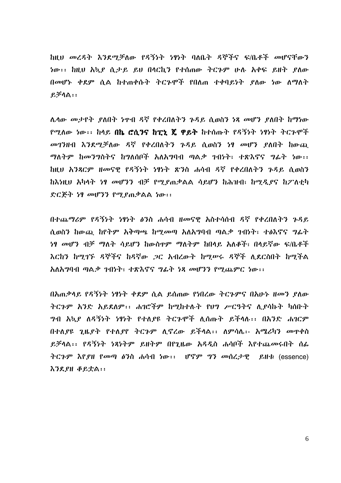ከዚህ መረዳት እንደማቻለው የዳኝነት ነፃነት ባለቤት ዳኞችና ፍ/ቤቶች መሆናቸውን ነው፡፡ ከዚህ አኳደ ሲታይ ይህ በሳርኪን የተሰጠው ትርጉም ሁሉ አቀፍ ይዘት ደስው በመሆኑ ቀደም ሲል ከተጠቀሱት ትርጉሞች የበለጠ ተቀባይነት ያለው ነው ለማለት  $P, \overline{P} \cap \mathbb{A}$  : :

ሌላው መታየት ያለበት ነዋብ ዳኛ የቀረበለትን ጉዳይ ሲወስን ነጻ መሆን ያለበት ከማነው <u>የሚለው ነው፡፡ ከላይ በኬ ሮሲንና ከፒኒ ጄ ዋይት ከተሰጡት የዳኝነት ነፃነት ትርጉሞች</u> መገንዘብ እንደሚቻለው ዳኛ የቀረበለትን ጉዳይ ሲወስን ነፃ መሆን ያለበት ከውጨ ማለትም ከመንግስትና ከግለሰቦች አለአግባብ ጣልቃ ንብነት፣ ተጽእኖና ግፊት ነው፡፡ ከዚህ አንጻርም ዘመናዊ የዳኝነት ነፃነት ጽንስ ሐሳብ ዳኛ የቀረበለትን ጉዳይ ሲወስን ከእነዚህ አካላት ነፃ መሆንን ብቻ የሚያጠቃልል ሳይሆን ከሕዝብ፣ ከሚዲያና ከፖለቲካ ድርጅት ነፃ መሆንን የሚያጠቃልል ነው፡፡

በተጨማሪም የዳኝነት ነፃነት ፅንስ ሐሳብ ዘመናዊ አስተሳሰብ ዳኛ የቀረበለትን ጉዳይ ሲወስን ከውጪ ከየትም አቅጣጫ ከሚመጣ አለአግባብ ጣልቃ ገብነት፣ ተፅእኖና ግራት *ነዓ መሆን ብቻ ማለት ሳይሆን ከ*ውስዋም ማለትም ከበላይ አለቆች፣ በላይኛው ፍ/ቤቶች እርከን ከሚገኙ ዳኞችና ከዳኛው ጋር አብረውት ከሚሠሩ ዳኞች ሊደርስበት ከሚችል አለአማባብ ጣልቃ ኀብነት፣ ተጽእኖና ግሬት ነጻ መሆንን የማጨምር ነው፡፡

በአጠቃላይ የዳኝነት ነፃነት ቀደም ሲል ይሰጠው የነበረው ትርጉምና በአሁኑ ዘመን ያለው ትርጉም አንድ አይደለም፡፡ ሐገሮችም ከሚከተሉት የሀግ ሥርዓትና ሊያሳኩት ካሰቡት *ግ*ብ አኳ*ያ ለዳኝነት ነፃነት የተለያዩ ትርጉ*ሞች ሊሰጡት ይችላሉ፡፡ በአንድ ሐ*ገ*ርም በተለያዩ ጊዜያት የተለያየ ትርጉም ሊኖረው ይችላል፡፡ ለምሳሌ፡- አሜሪካን መዋቀስ ይቻላል፡፡ የዳኝነት ነጻነትም ይዘትም በየጊዜው አዳዲስ ሐሳቦች እየተጨመሩበት ሰፊ ትርጉም እየያዘ የመጣ ፅንስ ሐሳብ ነው፡፡  $\mathsf{U}^{\mathsf{c}}\mathsf{F}^{\mathsf{p}}\mathsf{P}^{\mathsf{p}}$  መሰረታዊ ይዘቱ (essence) **እንደያዘ ቆይቷል::**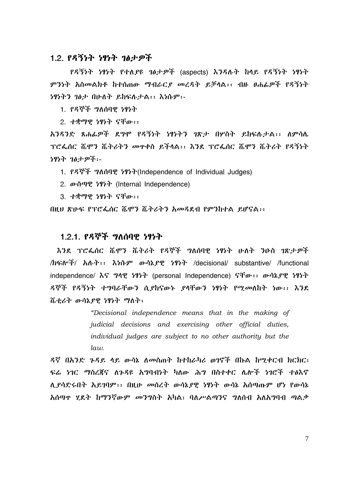#### 1.2. የዳኝነት ነፃነት ገፅታዎች

የዳኝነት ነፃነት የተለያዩ ገፅታዎች (aspects) እንዳሉት ከላይ የዳኝነት ነፃነት ምንነት አስመልክቶ ከተሰጠው ማብራርያ መረዳት ይቻላል፡፡ ብዙ ፀሐፌዎች የዳኝነት ነፃነትን ገፅታ በሁለት ይከፍሉታል፡፡ እነሱም፡-

1. የዳኞች ግለሰባዊ ነፃነት

2. ተቋማዊ ነፃነት ናቸው፡፡

አንዳንድ ጸሐፊዎች ደግሞ የዳኝነት ነፃነትን ገጽታ በሦስት ይከፍሉታል፡፡ ለምሳሌ ፕሮፌሰር ሼሞን ሼትሪትን መዋቀስ ይችላል፡፡ እንደ ፕሮፌሰር ሼሞን ሼትሪት የዳኝነት ነፃነት ገፅታዎች፡-

1. PS . 2010 9 7977 (Independence of Individual Judges)

2. *D*·n<sup>*n*</sup>, <sup>*191*<sup>*h*</sup> (Internal Independence)</sup>

3. ተቋማዊ ነፃነት ናቸው፡፡

በዚህ ጽሁፍ የፕሮፌሰር ሼሞን ሼትሪትን አመዳደብ የምንከተል ይሆናል፡፡

# 1.2.1. የዳኞች ግለሰባዊ ነፃነት

እንደ ፕሮፌሰር ሼሞን ሼትሪት የዳኞች ግለሰባዊ ነፃነት ሁለት ንዑስ ገጽታዎች /ክፍሎች/ አለት፡፡ እነሱም ውሳኔያዊ ነፃነት /decisional/ substantive/ /functional independence/  $\lambda$   $\zeta$   $\eta$  $\eta$   $\eta$   $\zeta$   $\eta$   $\zeta$   $\eta$   $\zeta$   $\eta$   $\zeta$   $\eta$   $\zeta$   $\eta$   $\zeta$   $\eta$   $\zeta$   $\eta$   $\zeta$   $\eta$   $\zeta$   $\eta$   $\zeta$   $\eta$   $\zeta$   $\eta$   $\zeta$   $\eta$   $\zeta$   $\eta$   $\zeta$   $\eta$   $\zeta$   $\eta$   $\zeta$   $\eta$   $\zeta$  ዳኞች የዳኝነት ተግባራቸውን ሲያከናውኑ ያላቸውን ነፃነት የሚመለከት ነው፡፡ እንደ ሼቲሪት ውሳኔያዊ ነፃነት ማለት፡

> "Decisional independence means that in the making of judicial decisions and exercising other official duties, individual judges are subject to no other authority but the  $law$ .

ዳኛ በአንድ ጉዳይ ላይ ውሳኔ ለመስጠት ከተከራካሪ ወገኖች በኩል ከሚቀርብ ክርክር፣ ፍሬ ነገር ማስረጃና ለጉዳዩ አግባብነት ካለው ሕግ በስተቀር ሌሎች ነገሮች ተፅእኖ ሲያሳድሩበት አይገባም፡፡ በዚሁ መሰረት ውሳኔያዊ ነፃነት ውሳኔ አሰጣጡም ሆነ የውሳኔ አሰጣዋ ሂደት ከማንኛውም መንግስት አካል፣ ባለሥልጣንና ግለሰብ አለአግባብ ጣልቃ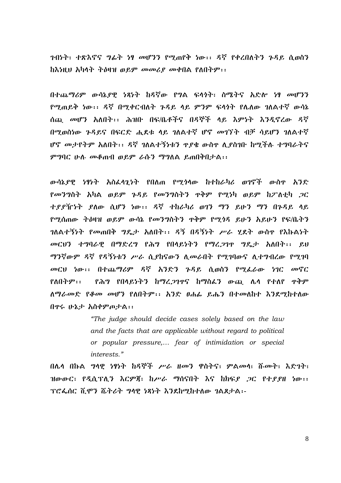ንብነት፣ ተጽእኖና ግፊት ነፃ መሆንን የማጠየቅ ነው፡፡ ዳኛ የቀረበለትን ጉዳይ ሲወስን ከእነዚህ አካላት ትዕዛዝ ወይም መመሪያ መቀበል የለበትም፡፡

በተጨማሪም ውሳኔያዊ ነጻነት ከዳኛው የግል ፍላጎት፣ ስሜትና አድሎ ነፃ መሆንን የሚጠይቅ ነው፡፡ ዳኛ በሚቀርብለት ጉዳይ ላይ ምንም ፍላጎት የሌለው ገለልተኛ ውሳኔ ሰጪ መሆን አለበት፡፡ ሕዝቡ በፍ/ቤቶችና በዳኞች ላይ እምነት እንዲኖረው ዳኛ በሚወስነው ንዳይና በፍርድ ሒደቱ ላይ ገለልተኛ ሆኖ መገኘት ብቻ ሳይሆን ገለልተኛ ሆኖ መታየትም አለበት፡፡ ዳኛ ገለልተኝነቱን ዋያቄ ውስዋ ሊያስገቡ ከሚችሉ ተግባራትና ምግባር ሁሉ መቆጠብ ወይም ራሱን ማግለል ይጠበቅበታል፡፡

ውሳኔደዊ ነፃነት አስፌላንነት የበለጠ የሚጎላው ከተከራካሪ ወገኖች ውስዋ አንድ የመንግስት አካል ወይም ጉዳይ የመንግስትን ዋቅም የሚነካ ወይም ከፖለቲካ ጋር ተያያዥነት ያለው ሲሆን ነው፡፡ ዳኛ ተከራካሪ ወገን ማን ይሁን ማን በጉዳይ ላይ የሚሰጠው ትዕዛዝ ወይም ውሳኔ የመንግስትን ዋቅም የሚጎዳ ይሁን አይሁን የፍ/ቤትን ገለልተኝነት የመጠበቅ ግዴታ አለበት፡፡ ዳኝ በዳኝነት ሥራ ሂደት ውስዋ የእኩልነት መርህን ተግባራዊ በማድረግ የሕግ የበላይነትን የማረጋገዋ ግዴታ አለበት፡፡ ይህ ማንኛውም ዳኛ የዳኝነቱን ሥራ ሲያከናውን ሲመራበት የሚገባውና ሲተግብረው የሚገባ መርህ ነው፡፡ በተጨማሪም ዳኛ አንድን ጉዳይ ሲወስን የሚፌራው ነገር መኖር የለበትም:: የሕግ የበላይነትን ከማረጋገዋና ከማስፈን ውጪ ሌላ የተለየ ዋቅም ለማራመድ የቆመ መሆን የለበትም፡፡ አንድ ፀሐፌ ይሔን በተመለከተ እንደሚከተለው በዋሩ ሁኔታ አስቀምጦታል፡፡

> "The judge should decide cases solely based on the law and the facts that are applicable without regard to political or popular pressure,... fear of intimidation or special interests."

በሌላ በኩል *ግ*ላዊ *ነፃነት ከዳኞች ሥራ ዘመን* ዋስትና፣ ምልመላ፣ ሹመት፣ እድገት፣ ዝውውር፣ የዲሲፕሊን እርምጃ፣ ከሥራ ማሰናበት እና ከክፍያ ጋር የተያያዘ ነው፡፡ ፕሮፌሰር ሺሞን ሼትሪት ግላዊ ነጻነት እንደከማከተለው ገልጸታል፡-

 $\overline{8}$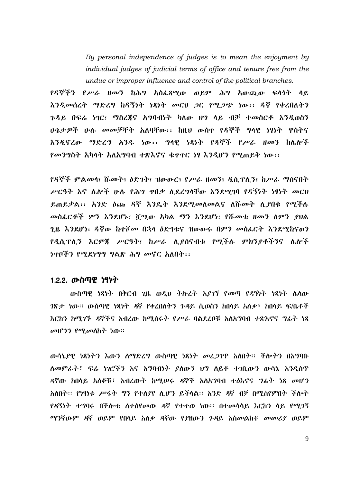By personal independence of judges is to mean the enjoyment by individual judges of judicial terms of office and tenure free from the undue or improper influence and control of the political branches.

የዳኞችን የሥራ ዘመን ከሕግ አስፌጻሚው ወይም ሕግ አውጪው ፍላጎት ላይ እንዲመሰረት ማድረግ ከዳኝነት ነጻነት መርህ ጋር የሚጋጭ ነው፡፡ ዳኛ የቀረበለትን ንዳይ በፍሬ ነገር፣ ማስረጀና አግባብነት ካለው ህግ ላይ ብቻ ተመስርቶ እንዲወስን ሁኔታዎች ሁሉ መመቻቸት አለባቸው፡፡ ከዚህ ውስዋ የዳኞች ግላዊ ነፃነት ዋስትና እንዲኖረው ማድረግ አንዱ ነው፡፡ ግላዊ ነጻነት የዳኞች የሥራ ዘመን ከሌሎች የመንግስት አካላት አለአግባብ ተጽእኖና ቁዋዋር ነፃ እንዲሆን የሚጠይቅ ነው፡፡

የዳኞች ምልመሳ፣ ሹመት፣ ዕድገት፣ ዝውውር፣ የሥራ ዘመን፣ ዲሲፕሊን፣ ከሥራ ማሰናበት ሥርዓት እና ሌሎች ሁሉ የሕግ ዋበቃ ሲደረግሳቸው እንደሚገባ የዳኝነት ነፃነት መርህ ደጠይቃል፡፡ አንድ ዕጩ ዳኛ እንዴት እንደሚመለመልና ለሹመት ሲያበቁ የሚችሉ መስፌርቶች ምን እንደሆኑ፣ ሻሚው አካል ማን እንደሆነ፣ የሹመቱ ዘመን ለምን ያህል ጊዜ እንደሆነ፣ ዳኛው ከተሾመ በኋላ ዕድገቱና ዝውውሩ በምን መስፌርት እንደሚከናወን የዲሲፕሊን እርምጃ ሥርዓት፣ ከሥራ ሲያሰናብቱ የሚችሉ ምክንያቶችንና ሌሎች ነዋቦችን የሚደነግግ ግልጽ ሕግ መኖር አለበት፡፡

## 1.2.2. ውስጣዊ *ነ*ፃነት

ውስጣዊ ነጻነት በቅርብ ጊዜ ወዲህ ትኩረት እያገኘ የመጣ የዳኝነት ነጻነት ሴሳው *ገ*ጽታ ነው። ውስጣዊ ነጻነት ዳኛ የቀረበለትን ጉዳይ ሲወስን ከበላይ አለቃ፣ ከበላይ ፍ/ቤቶች <u>እርከን ከማ*ገኙ ዳ*ኞችና አብረው ከሚሰሩት *የሥራ* ባልደረቦቹ አለአማባብ ተጽእኖና *ግ*ፊት ነጻ</u>  $\omega$ <sub>1</sub>  $P$ <sup>3</sup>  $P$ <sup> $q$ </sup> $q$  $q$  $p$  $h$  $h$ <sup>1</sup> $h$  $h$ <sup>1</sup>

ውሳኔያዊ ነጻነትን እውን ስማድረግ ውስጣዊ ነጻነት መረ*ጋገ*ጥ አስበት፡፡ ችሎትን በአግባቡ ለመምራት፣ ፍሬ ነገሮችን እና አግባብነት ያለውን ህግ ለይቶ ተገቢውን ውሳኔ እንዲሰጥ ዳኛው ከበላይ አለቆቹ፤ አብረውት ከሚሠሩ ዳኞች አለአማባብ ተፅእኖና ግፊት ነጻ መሆን አለበት፡፡ የነፃነቱ ሥፋት ግን የተለያየ ሊሆን ይችላል፡፡ አንድ ዳኛ ብቻ በሚሰየምበት ችሎት የዳኝነት ተግባሩ በችሎቱ ስተሰየመው ዳኛ የተተወ ነው፡፡ በተመሳሳይ እርከን ላይ የሚገኝ ማንኛውም ዳኛ ወይም የበሳይ አለቃ ዳኛው የያዘውን ንዳይ አስመልክቶ መመሪያ ወይም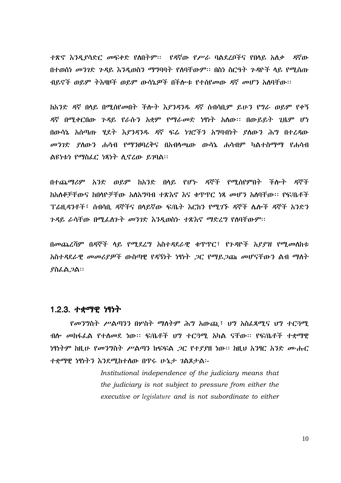ተጽኖ እንዲያሳድር መፍቀድ የሰበትም። የዳኛው የሥራ ባልደረቦችና የበሳይ አለቃ ዳኛው በተወሰነ መንገድ ጉዳይ እንዲወስን ማግባባት የለባቸውም፡፡ በስነ ስርዓት ጉዳዮች ላይ የሚሰጡ ብይኖች ወይም ትእዛዞች ወይም ውሳኔዎች በችሎቱ የተሰየመው ዳኛ መሆን አለባቸው።

ከአንድ ዳኛ በላይ በሚሰየመበት ችሎት እያንዳንዱ ዳኛ ሰብሳቢም ይሁን የግራ ወይም የቀኝ ዳኛ በሚቀርበው ጉዳይ የራሱን አቋም የማራመድ ነፃነት አሰው፡፡ በውይይት ጊዜም ሆነ በውሳኔ አሰጣጡ ሂደት እያንዳንዱ ዳኛ ፍሬ ነገሮችን አግባብነት ያስውን ሕግ በተረዳው *መንገ*ድ *ያ*ስውን ሐሳብ የማንፀባረቅና በአብሳጫው ውሳኔ ሐሳብም ካልተስማማ የሐሳብ ልዩነቱነ የማስፌር ነጻነት ሲኖረው ይገባል፡፡

በተጨማሪም አንድ ወይም ከአንድ በላይ የሆኑ ዳኞች የሚሰየምበት ችሎት ዳኞች ክአለቆቻቸውና ክበላዮቻቸው አለአማባብ ተጽእኖ እና ቁጥጥር ነጻ መሆን አለባቸው። የፍ/ቤቶች Tፌዚዳንቶች፣ ስብሳቢ ዳኞችና በሳይኛው ፍ/ቤት እርከን የሚ*ገ*ኙ ዳኞች ሌሎች ዳኞች አንድን *ጉዳ*ይ ራሳቸው በሚፌስንት *መንገ*ድ እንዲወስኑ ተጽእኖ ማድረግ የሰባቸውም።

በመጨረሻም በዳኞች ላይ የሚደረግ አስተዳደራዊ ቁጥጥር፣ የጉዳዮች አያያዝ የሚመለከቱ አስተዳደራዊ መመሪያዎች ውስጣዊ የዳኝነት ነፃነት ጋር የማይጋጩ መሆናቸውን ልብ ማስት ያስፌል ጋል።

#### 1.2.3. ተቋ*ማዊ ነ*ፃነት

የመንግስት ሥልጣንን በሦስት ማስትም ሕግ አውጪ፣ ህግ አስፌጻሚና ህግ ተርጓሚ ብሎ መከፋፌል የተሰመደ ነው። ፍ/ቤቶች ህግ ተርጓሚ አካል ናቸው። የፍ/ቤቶች ተቋማዊ ነፃነትም ከዚሁ የመንግስት ሥልጣን ክፍፍል *ጋ*ር የተያያዘ ነው። ከዚህ አንፃር አንድ ሙሑር ተቋማዊ ነፃነትን እንደሚከተሰው በጥሩ ሁኔታ ገልጾታል፡-

> Institutional independence of the judiciary means that the judiciary is not subject to pressure from either the executive or legislature and is not subordinate to either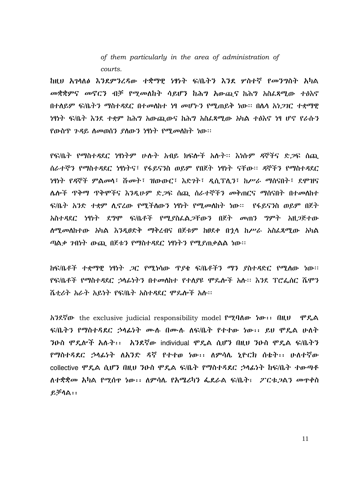of them particularly in the area of administration of courts.

ከዚህ አገሳለፅ እንደምንረዳው ተቋማዊ ነፃነት ፍ/ቤትን እንደ ሦስተኛ የመንግስት አካል መቋቋምና መኖርን ብቻ የሚመለከት ሳይሆን ከሕግ አውጪና ከሕግ አስፌጻሚው ተፅእኖ በተለይም ፍ/ቤትን ማስተዳደር በተመለከተ ነፃ መሆኑን የሚጠይቅ ነው። በሴሳ አነ*ጋገ*ር ተቋማዊ <u>ነፃነት ፍ/ቤት እንደ ተቋም ከሕግ አውጪውና ከሕግ አስፈጻሚው አካል ተፅእኖ ነፃ ሆኖ የራሱን</u> የውስጥ ጉዳይ ስመወሰን ያስውን ነፃነት የሚመስከት ነው።

የፍ/ቤት የማስተዳደር ነፃነትም ሁሉት አብይ ክፍሎች አሉት፡፡ እነሱም ዳኞችና ድ*ጋ*ፍ ሰጪ ሰራተኞን የማስተዳደር ነፃነትና፣ የፋይናንስ ወይም የበጀት ነፃነት ናቸው፡፡ ዳኞችን የማስተዳደር ነፃነት የዳኞች ምልመሳ፤ ሹመት፤ ዝውውር፤ እድንት፤ ዲሲፕሊን፤ ከሥራ ማሰናበት፤ ደሞዝና ሌሎች ጥቅማ ጥቅሞችና እንዲሁም ድ*ጋ*ፍ ሰጪ ሰራተኞችን መቅጠርና ማሰናበት በተመ**ለ**ከተ ፍ/ቤት አንድ ተቋም ሲኖረው የሚችለውን ነፃነት የሚመለከት ነው። የፋይናንስ ወይም በጀት አስተዳደር ነፃነት ደግሞ ፍ/ቤቶች የሚያስፌል*ጋ*ቸውን በጀት መጠን ግምት አዘ*ጋ*ጅተው ሰሚመሰከተው አካል እንዲፀድቅ ማቅረብና በጀቱም ከፀደቀ በኋሳ ከሥራ አስፌጻሚው አካል ጣልቃ ንብነት ውጪ በጀቱን የማስተዳደር ነፃነትን የሚያጠቃልል ነው።

ከፍ/ቤቶች ተቋማዊ ነፃነት *ጋ*ር የሚነሳው ጥያቂ ፍ/ቤቶችን ማን ያስተዳድር የሚለው ነው። የፍ/ቤቶች የማስተዳደር ኃላፊነትን በተመለከተ የተለያዩ ሞዴሎች አሉ። እንደ ፕሮፌሰር ሼሞን ሼታሪት አራት አይነት የፍ/ቤት አስተዳደር ምዴሎች አሉ።

 $\hbar$ ? $\hbar$ ? $\hbar$  the exclusive judicial responsibility model  $\hbar$ ? $\hbar$  and  $\hbar$  and  $\hbar$  and  $\hbar$ ፍ/ቤትን የማስተዳደር ኃሳፊነት ሙለ በሙለ ለፍ/ቤት የተተው ነው፡፡ ይህ ሞዴል ሁለት ንዑስ ሞዴሎች አሉት፡፡ አንደኛው individual ሞዴል ሲሆን በዚህ ንዑስ ሞዴል ፍ/ቤትን የማስተዳደር ኃላፊነት ለአንድ ዳኛ የተተወ ነው፡፡ ለምሳሌ ነዮርክ ስቱት፡፡ ሁለተኛው collective ሞዴል ሲሆን በዚህ ንዑስ ሞዴል ፍ/ቤት የማስተዳደር ኃላፊነት ከፍ/ቤት ተውጣቶ ለተቋቋመ አካል የሚሰዋ ነው፡፡ ለምሳሌ የአሜሪካን ፌደራል ፍ/ቤት፣ 2'ርቱ.2ልን መዋቀስ  $P, \overline{P} \cap \mathbb{A}$  : :

 $11$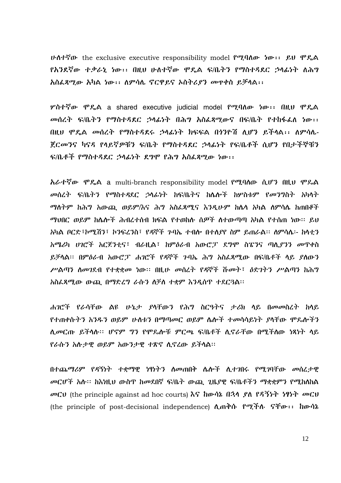$\nu \Delta t$  which the exclusive executive responsibility model  $\ell^{\alpha}$ ? ( $\lambda \omega$  is  $\ell \nu$   $\ell^{\beta}$ )  $\ell^{\beta}$ የአንደኛው ተቃራኒ ነው፡፡ በዚህ ሁለተኛው ሞዴል ፍ/ቤትን የማስተዳደር ኃላፊነት ለሕግ አስፌጻሚው አካል ነው፡፡ ለምሳሌ ኖርዋይና አስትሪያን መዋቀስ ይቻላል፡፡

ሦስተኛው ሞዴል a shared executive iudicial model የሚባለው ነው፡፡ በዚህ ሞዴል መሰረት ፍ/ቤትን የማስተዳደር ኃላፊነት በሕግ አስፌጻሚውና በፍ/ቤት የተከፋፌስ ነው፡፡ በዚህ ሞዴል መሰረት የማስተዳደሩ ኃላፊነት ክፍፍል በነንዮሽ ሲሆን ይችላል፡፡ ለምሳሌ-ጀርመንና ካናዳ የላይኛዎቹን ፍ/ቤት የማስተዳደር ኃላፊነት የፍ/ቤቶች ሲሆን የበታችኞቹን ፍ/ቤቶች የማስተዳደር ኃላፊነት ደግሞ የሕግ አስፌጻሚው ነው፡፡

አራተኛው ሞዴል a multi-branch responsibility model የሚባሰው ሲሆን በዚህ ሞጼል መሰረት ፍ/ቤትን የማስተዳደር ኃላፊነት ከፍ/ቤትና ከሌሎች ከሦስቱም የመንግስት አካላት ማስትም ከሕግ አውጪ ወይም/እና ሕግ አስፌጻሚና እንዲሁም ከሴሳ አካል ሰምሳሴ ከጠበቆች *ማህበር ወይም ከሌሎች ሕብረተስብ ክፍ*ል የተወከሉ ሰ*ዎች ስተ*ውጣጣ አካል የተሰጠ ነው። ይህ አካል ቦርድ፣ኮሚሽን፣ ኮንፍረንስ፣ የዳኞች ንባኤ ተብሎ በተሰያየ ስም ይጠራል። ስምሳሴ፡- ከሳቲን አሜሪካ ሀገሮች አርጀንቲና፣ ብራዚል፣ ከምዕራብ አውሮፓ ደግሞ ስፔንና ጣሊያንን መጥቀስ ይቻሳል፡፡ በምዕራብ አውሮፓ ሐገሮች የዳኞች ንባኤ ሕግ አስፌጻሚው በፍ/ቤቶች ላይ ያሰውን ሥልጣን ስመገደብ የተቋቋመ ነው። በዚሁ መሰረት የዳኞች ሹመት፣ ዕድገትን ሥልጣን ከሕግ አስፌጻሚው ውጪ በማድረግ ራሱን ስቻስ ተቋም እንዲሰጥ ተደርጓል፡፡

ሐገሮች የራሳቸው ልዩ ሁኔታ ያሳቸውን የሕግ ስርዓትና ታሪክ ላይ በመመስረት ከላይ የተጠቀሱትን አንዱን ወይም ሁስቱን በማጣመር ወይም ሴሎች ተመሳሳይነት ያሳቸው ሞዴሎችን ሲመርጡ ይችሳሱ። ሆኖም ግን የሞጼሎቹ ምርጫ ፍ/ቤቶች ሲኖራቸው በሚችሰው ነጻነት ሳይ የራሱን አሱታዊ ወይም አውንታዊ ተጽኖ ሲኖረው ይችሳል።

በተጨማሪም የዳኝነት ተቋማዊ ነፃነትን ስመጠበቅ ሴሎች ሲተገበሩ የሚገባቸው መሰረታዊ መርሆች አሉ፡፡ ከእነዚህ ውስጥ ከመደበኛ ፍ/ቤት ውጪ ጊዜያዊ ፍ/ቤቶችን ማቋቋምን የሚከለከል መርህ (the principle against ad hoc courts) እና ከውሳኔ በኋላ ያለ የዳኝነት ነፃነት መርህ (the principle of post-decisional independence)  $\Lambda$  m<sup>3</sup>th Point Time: hords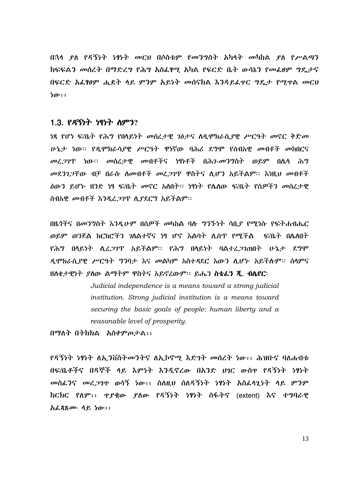በኋላ ደለ የዳኝነት ነፃነት መርህ በሶስቱም የመንግስት አካላት መካከል ደለ የሥልጣን ክፍፍልን መሰረት በማድረግ የሕግ አስፌፃሚ አካል የፍርድ ቤት ውሳኔን የመፌፀም ግዴታና በፍርድ አፌፃፀም ሒደት ላይ ምንም አይነት መሰናክል እንዳይፌዋር ግዴታ የሚዋል መርህ  $b$   $b$   $\cdots$ 

#### 1.3. *የዳኝነት ነ*ፃነት ስምን?

ነጻ የሆነ ፍ/ቤት የሕግ የበላይነት መሰረታዊ ገፅታና ለዲሞክራሲያዊ ሥርዓት መኖር ቅድመ ሁኔታ ነው። የዲሞክራሳያዊ ሥርዓት ዋነኛው ባሕሪ ደግሞ የሰብአዊ መብቶች መከበርና *መሪ ጋገ*ጥ ነው። *መ*ሰረ*ታዊ መብቶች*ና ነፃነቶች በሕን-መንግስት ወይም በሴሳ ሕግ መደንገጋቸው ብቻ በራሱ ስመብቶች መረጋገጥ ዋስትና ሲሆን አይችልም፡፡ እነዚህ መብቶች ዕውን ይሆኑ ዘንድ ነፃ ፍ/ቤት መኖር አስበት። ነፃነት የሌለው ፍ/ቤት የሰዎችን መሰረታዊ ሰብአዊ መብቶች እንዲረ*ጋገ*ጥ ሲያደርግ አይችልም፡፡

በዜጎችና በመንግስት እንዲሁም በሰዎች መካከል ባሉ ግንኙነት ሳቢያ የሚነሱ የፍትሐብሔር ወይም ወንጀል ክርክሮችን ገለልተኛና ነፃ ሆኖ እልባት ሲሰጥ የሚችል \_ ፍ/ቤት በሌለበት <u>የሕግ በሳይነት ሲፈ*ጋገ*ጥ አይችልም፡፡ የሕግ በሳይነት ባልተፈ*ጋገ*ጠበት ሁኔታ ደግሞ</u> ዲሞክራሲያዊ ሥርዓት ግንባታ እና መልካም አስተዳደር እውን ሲሆኑ አይችሉም፡፡ ሰሳምና ዘስቄታዊነት ያስው ልማትም ዋስትና አይኖረውም። ይሔን ስቴፌን ጂ. ብሌየር፡

> Judicial independence is a means toward a strong judicial institution. Strong judicial institution is a means toward securing the basic goals of people: human liberty and a reasonable level of prosperity.

በማለት በትክክል አስቀምጦታል፡፡

*የዳኝነት ነፃነት ለኢን*ቨስትመንትና ለኢኮኖሚ እድገት መሰረት ነው፡፡ ሕዝቡና ባለሐብቱ በፍ/ቤቶችና በዳኞች ላይ እምነት እንዲኖረው በአንድ ሀገር ውስዋ የዳኝነት ነፃነት መስፈንና መረጋገዋ ወሳኝ ነው፡፡ ስለዚህ ሰለዳኝነት ነፃነት አስፈላጊነት ላይ ምንም ክርክር የለም፡፡ ዋያቄው ያለው የዳኝነት ነፃነት ስፋትና (extent) እና ተግባራዊ አፌጻጸሙ ላይ ነው፡፡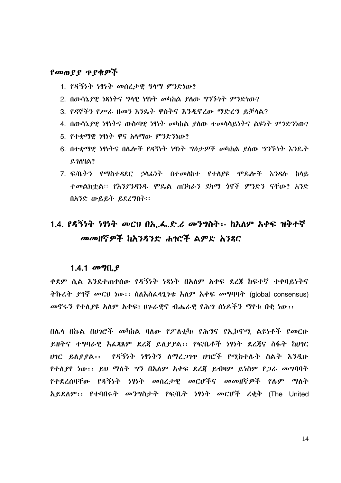#### የመወያያ ጥያቄዎች

- 1. የዳኝነት ነፃነት መሰረታዊ ዓላማ ምንድነው?
- 2. በውሳኔያዊ ነጻነትና ግላዊ ነፃነት መካከል ያለው ግንኙነት ምንድነው?
- 3. የዳኞችን የሥራ ዘመን እንዴት ዋስትና እንዲኖረው ማድረግ ይቻላል?
- 4. በውሳኔደዋ ነፃነትና ውስጣዋ ነፃነት መካከል ደለው ተመሳሳይነትና ልዩነት ምንድንነው?
- 5. የተቋማዋ ነፃነት ዋና አለማው ምንድንነው?
- 6. በተቋማዊ ነፃነትና በሌሎች የዳኝነት ነፃነት ግፅታዎች መካከል ያስው ግንኙነት እንዴት  $P, 7$  $\Lambda$  $9$  $\Lambda$  $?$
- 7. ፍ/ቤትን የማስተዳደር ኃሳፊነት በተመሰከተ የተሰያዩ ሞዴሎች እንዳሉ ከሳይ ተመልክተል፡፡ የእንያንዳንዱ ሞጼል ጠንካራን ደካማ ጎኖች ምንድን ናቸው? አንድ በአንድ ውይይት ይደረግበት።

# 1.4. የዳኝነት ነፃነት መርህ በኢ.ፌ.ድ.ሪ መንግስት፡- ከአለም አቀፍ ዝቅተኛ መመዘኛዎች ከአንዳንድ ሐባሮች ልምድ አንጸር

#### 1.4.1  $\omega$  of  $\theta$ .

ቀደም ሲል እንደተጠቀሰው የዳኝነት ነጻነት በአለም አቀፍ ደረጀ ከፍተኛ ተቀባይነትና ትኩረት ያገኛ መርህ ነው፡፡ ስለአስፌላጊነቱ አለም አቀፍ መግባባት (global consensus) መኖሩን የተለደዩ አለም አቀፍ፣ ሆኑራዊና ብሔራዊ የሕግ ሰነዶችን ማየቱ በቂ ነው፡፡

በሌላ በኩል በሀገሮች መካከል ባለው የ2ንለቲካ፣ የሕግና የኢኮኖሚ ልዩነቶች የመርሁ ይዘትና ተግባራዊ አፌጻጸም ደረጃ ይለደደል፡፡ የፍ/ቤቶች ነፃነት ደረጃና ስፋት ከሀገር ሀገር ይለያያል፡፡ የዳኝነት ነፃነትን ለማረጋገዋ ሀገሮች የሚከተሉት ስልት እንዲሁ የተለያየ ነው፡፡ ይህ ማለት ግን በአለም አቀፍ ደረጃ ይብዛም ይነስም የጋራ መግባባት የተደረሰባቸው የዳኝነት ነፃነት መሰረታዊ መርሆችና መመዘኛ*ዎች* የሉም ማለት አይደለም:: የተባበሩት መንግስታት የፍ/ቤት ነፃነት መርሆች ረቂቅ (The United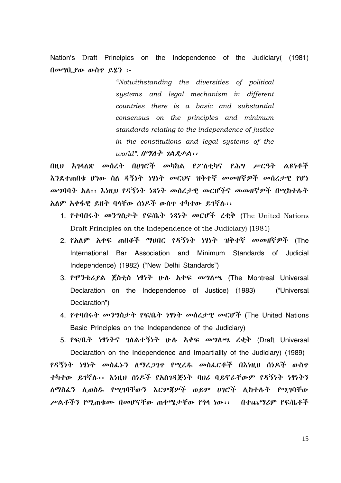Nation's Draft Principles on the Independence of the Judiciary (1981) በመግቢያው ውስዋ ይሂን ፡-

> "Notwithstanding the diversities of political systems and legal mechanism in different countries there is a basic and substantial consensus on the principles and minimum standards relating to the independence of justice in the constitutions and legal systems of the  $world$ ".  $1^{\prime\prime\prime}$  $1^{\prime\prime}$   $1^{\prime}$  $2^{\prime}$  $3^{\prime}$  $1^{\prime\prime}$ :

በዚህ አገላለጽ መሰረት በሀገሮች መካከል የፖለቲካና የሕግ ሥርዓት ልዩነቶች እንደተጠበቁ ሆነው ስለ ዳኝነት ነፃነት መርህና ዝቅተኛ መመዘኛዎች መሰረታዊ የሆነ መግባባት አለ፡፡ እነዚህ የዳኝነት ነጻነት መሰረታዊ መርሆችና መመዘኛዎች በሚከተሉት አለም አቀፋዊ ይዘት ባላቸው ሰነዶች ውስዋ ተካተው ይገኛሉ፡፡

- 1. የተባበሩት መንግስታት የፍ/ቤት ነጻነት መርሆች ረቂቅ (The United Nations Draft Principles on the Independence of the Judiciary (1981)
- 2. የእለም አቀፍ ጠበቆች ማህበር የዳኝነት ነፃነት ዝቅተኛ መመዘኛዎች (The International Bar Association and Minimum Standards of Judicial Independence) (1982) ("New Delhi Standards")
- 3. የሞንቴሪያል ጀስቲስ ነፃነት ሁለ አቀፍ መግለጫ (The Montreal Universal Declaration on the Independence of Justice) (1983) ("Universal Declaration")
- 4. የተባበሩት መንግስታት የፍ/ቤት ነፃነት መሰረታዊ መርሆች (The United Nations Basic Principles on the Independence of the Judiciary)
- 5. የፍ/ቤት ነፃነትና ገለልተኝነት ሁሉ አቀፍ መግለጫ ረቂቅ (Draft Universal Declaration on the Independence and Impartiality of the Judiciary) (1989) የዳኝነት ነፃነት መስፌኑን ስማረ,ንገዋ የሚረዱ መስፌርቶች በእነዚህ ሰነዶች ውስዋ ተካተው ይገኛሉ፡፡ እነዚህ ሰነዶች የአስገዳጅነት ባሀሪ ባይኖራቸውም የዳኝነት ነፃነትን

ለማስፈን ሊወስዱ የማኅባቸውን እርምጀዎች ወይም ሀገሮች ሊከተሉት የማኅባቸው

ሥልቶችን የማጠቁሙ በመሆናቸው ጠቀሚታቸው የጎሳ ነው፡፡ - በተጨማሪም የፍ/ቤቶች

15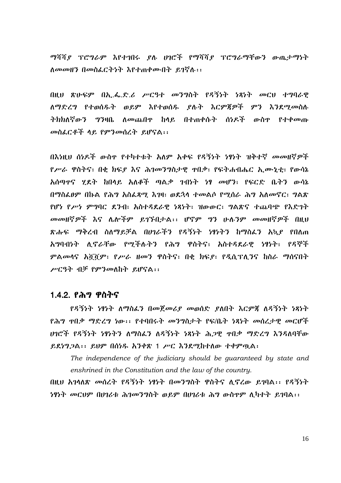ማሻሻያ ፕሮግራም እየተገበሩ ያሉ ሀገሮች የማሻሻያ ፕሮግራማቸውን ውጤታማነት ለመመዘን በመስፈርትነት እየተጠቀሙበት ይገኛሉ፡፡

በዚህ ጽሁፍም በኢ.ፌ.ድ.ሪ ሥርዓተ መንግስት የዳኝነት ነጻነት መርህ ተግባራዊ ለማድረግ የተወሰዱት ወደም እየተወሰዱ ያሉት እርምጀዎች ምን እንደማመስሉ みわわんぞሙろ *ግን*ዛቤ ለመጨበዋ ከላይ በተጠቀሱት ሰነዶች ውስዋ የተቀመጡ መስፌርቶች ላይ የምንመሰረት ይሆናል፡፡

በእነዚህ ሰነዶች ውስዋ የተካተቱት አለም አቀፍ የዳኝነት ነፃነት ዝቅተኛ መመዘኛዎች የሥራ ዋስትና፣ በቂ ክፍደ እና ሕገመንግስታዊ ዋበቃ፣ የፍትሐብሔር ኢሙኒቲ፣ የውሳኔ አሰጣዋና ሂደት ከበላይ አለቆች ጣልቃ ኀብነት ነፃ መሆን፣ የፍርድ ቤትን ውሳኔ በማስፌፀም በኩል የሕግ አስፌጻሚ እንዛ፣ ወደኋላ ተመልሶ የሚሰራ ሕግ አለመኖር፣ ግልጽ የሆነ የሥነ ምግባር ደንብ፣ አስተዳደራዊ ነጻነት፣ ዝውውር፣ ግልጽና ተጨባጭ የእድገት መመዘኛዎች እና ሌሎችም ይገኙበታል፡፡ ሆኖም ግን ሁሉንም መመዘኛዎች በዚህ ጽሑፍ ማቅረብ ስለማይቻል በሀገራችን የዳኝነት ነፃነትን ከማስፌን አኳደ የበለጠ አግባብነት ሊኖራቸው የሚችሉትን የሕግ ዋስትና፣ አስተዳደራዊ ነፃነት፣ የዳኞች ምልመሳና አሿሿም፣ የሥራ ዘመን ዋስትና፣ በቂ ክፍደ፣ የዲሲፕሊንና ከስራ ማሰናበት ሥርዓት ብቻ የምንመለከት ይሆናል::

## 1.4.2. የሕግ ዋስትና

የዳኝነት ነፃነት ለማስፌን በመጀመሪያ መወሰድ ያለበት እርምጃ ለዳኝነት ነጻነት *የሕግ ጥበቃ ማድረግ ነ*ው፡፡ *የ*ተባበሩት መንግስታት የፍ/ቤት ነጻነት መሰረታዊ መርሆች ወገሮች የዳኝነት ነፃነትን ለማስፌን ለዳኝነት ነጻነት ሕጋዊ ተበቃ ማድረግ እንዳለባቸው ይደነግጋል፡፡ ይህም በሰነዱ አንቀጽ 1 ሥር እንደሚከተለው ተቀምጧል፡

The independence of the judiciary should be quaranteed by state and enshrined in the Constitution and the law of the country.

በዚህ አገሳለጽ መሰረት የዳኝነት ነፃነት በመንግስት ዋስትና ሊኖረው ይገባል፡፡ የዳኝነት *ነፃነት መርህም በሀገሪቱ ሕገመንግ*ስት ወይም በሀገሪቱ ሕግ ውስዋም ሊካተት ይገባል፡፡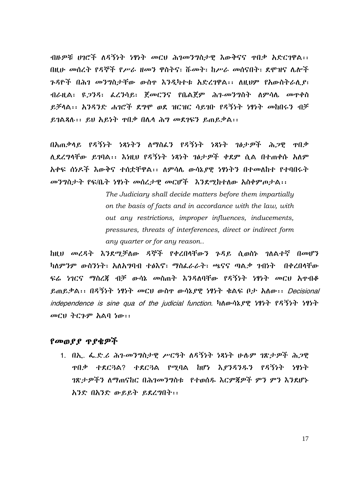ብዙዎቹ ሀገሮች ለዳኝነት ነፃነት መርህ ሕገመንግስታዊ እውቅናና ዋበቃ አድርገዋል፡፡ በዚሁ መሰረት የዳኞች የሥራ ዘመን ዋስትና፣ ሹመት፣ ከሥራ መሰናበት፣ ደሞዝና ሌሎች ንዳዮች በሕገ መንግስታቸው ውስዋ እንዲካተቱ አድረገዋል፡፡ ለዚህም የአውስትራሊያ፣ ብራዚል፣ ዩ*ጋንዳ*፣ ፌረንሳይ፣ ጀመርንና የቤልጀም ሕገ-መንግስት ለምሳሌ መዋቀስ ይቻላል፡፡ እንዳንድ ሐገሮች ደግሞ ወደ ዝርዝር ሳይገቡ የዳኝነት ነፃነት መከበሩን ብቻ ይገልጻሉ፡፡ ይህ አይነት ዋበቃ በሌላ ሕግ መደገፍን ይጠይቃል፡፡

በአጠቃላይ የዳኝነት ነጻነትን ለማስፈን የዳኝነት ነጻነት ገፅታዎች ሕጋዊ ዋበቃ ሊደረግላቸው ይገባል፡፡ እነዚህ የዳኝነት ነጻነት ገፅታዎች ቀደም ሲል በተጠቀሱ አለም አቀፍ ሰነዶች እውቅና ተሰቷቸዋል፡፡ ለምሳሌ ውሳኔደዊ ነፃነትን በተመለከተ የተባበሩት መንግስታት የፍ/ቤት ነፃነት መሰረታዊ መርሆች እንደሚከተለው አስቀምጦታል፡፡

> The Judiciary shall decide matters before them impartially on the basis of facts and in accordance with the law, with out any restrictions, improper influences, inducements, pressures, threats of interferences, direct or indirect form any quarter or for any reason...

ከዚህ መረዳት እንደሚቻለው ዳኞች የቀረበሳቸውን ጉዳይ ሲወስኑ ገለልተኛ በመሆን ካለምንም ውስንነት፣ አለአግባብ ተፅእኖ፣ ማስፌራራት፣ ጫናና ጣልቃ ንብነት በቀረበላቸው ፍሬ ነገርና ማስረጀ ብቻ ውሳኔ መስጠት እንዳለባቸው የዳኝነት ነፃነት መርህ አዋብቆ ይጠይቃል፡፡ በዳኝነት ነፃነት መርህ ውስዋ ውሳኔያዊ ነፃነት ቁልፍ ቦታ አለው፡፡ Decisional independence is sine qua of the judicial function. hno ht  $f$ ? ht  $f$ ? ht  $f$ ? ht  $f$ መርህ ትርጉም አልባ ነው፡፡

## የመወያያ ጥያቄዎች

1. በኢ. ፌ.ድ.ሪ ሕገ-መንግስታዊ ሥርዓት ለዳኝነት ነጻነት ሁሉም ገጽታዎች ሕጋዊ ዋበቃ ተደርጓል? ተደርጓል የሚባል ከሆነ እያንዳንዱን የዳኝነት ነፃነት *ำጽታዎችን ለማ*ሐናከር በሕ*ገመንግ*ስቱ የተወሰዱ እርምጀዎች ምን ምን እንደሆኑ አንድ በአንድ ውይይት ይደረግበት::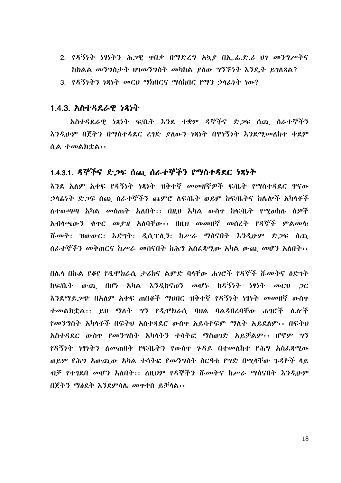- 2. የዳኝነት ነፃነትን ሕጋዊ ተበቃ በማድረግ አኳደ በኢ.ፊ.ድ.ሪ ህገ መንግሥትና ከክልል መንግስታት ህገመንግስት መካከል ያለው ግንኙነት እንዴት ይገለጻል?
- 3. የዳኝነትን ነጻነት መርህ ማክበርና ማስከበር የማን ኃላፊነት ነው?

#### <u>1.4.3. አስተዳደራዊ ነጻነት</u>

አስተዳደራዊ ነጻነት ፍ/ቤት እንደ ተቋም ዳኞችና ድ,ጋፍ ሰጪ ሰራተኞችን እንዲሁም በጀትን በማስተዳደር ረገድ ያለውን ነጻነት በዋነኝነት እንደሚመለከተ ቀደም ሲል *ተመ*ልክቷል፡፡

# 1.4.3.1. ዳኞችና ድጋፍ ሰጪ ሰራተኞችን የማስተዳደር ነጻነት

እንደ አለም አቀፍ የዳኝነት ነጻነት ዝቅተኛ መመዘኛዎች ፍ/ቤት የማስተዳደር ዋናው ኃላፊነት ድጋፍ ሰጪ ሰራተኞችን ጨምሮ ለፍ/ቤት ወይም ከፍ/ቤትና ከሌሎች አካላቶች ለተውጣጣ አካል መስጠት አለበት፡፡ በዚህ አካል ውስዋ ከፍ/ቤት የማመከለ ሰዎች አብላጫውን ቁዋር መደዝ አለባቸው፡፡ በዚህ መመዘኛ መሰረት የዳኞች ምልመሳ፣ ሹመት፣ ዝውውር፣ እድገት፣ ዲሲፕሊን፣ ከሥራ ማሰናበት እንዲሁም ድጋፍ ሰጪ ሰራተኞችን መቅጠርና ከሥራ መሰናበት ከሕግ አስፌጻሚው አካል ውጪ መሆን አለበት፡፡

በሌላ በኩል የቆየ የዲሞክራሲ ታሪክና ልምድ ባላቸው ሐገሮች የዳኞች ሹመትና ዕድገት ከፍ/ቤት ውጪ በሆነ አካል እንዲከናወን መሆኑ ከዳኝነት ነፃነት መርህ ጋር እንደማይጋጭ በአለም አቀፍ ጠበቆች ማህበር ዝቅተኛ የዳኝነት ነፃነት መመዘኛ ውስዋ ተመልክቷል፡፡ ይሀ ማለት ግን የዲሞክራሲ ባሀል ባልዳበረባቸው ሐገሮች ሌሎች የመንግስት አካላቶች በፍትህ አስተዳደር ውስዋ አይሳተፍም ማለት አይደለም፡፡ በፍትህ አስተዳደር ውስዋ የመንግስት አካላትን ተሳትፎ ማስወገድ አይቻልም፡፡ ሆኖም ግን የዳኝነት ነፃነትን ስመጠበቅ የፍ/ቤትን የውስዋ ንዳይ በተመለከተ የሕግ አስፌጻሚው ወይም የሕግ አውጪው አካል ተሳትፎ የመንግስት ስርዓቱ የግድ በሚሳቸው ጉዳዮች ላይ ብቻ የተገደበ መሆን አለበት፡፡ ለዚህም የዳኞችን ሹመትና ከሥራ ማሰናበት እንዲሁም በጀትን ማፅደቅ እንደምሳሌ መዋቀስ ይቻሳል፡፡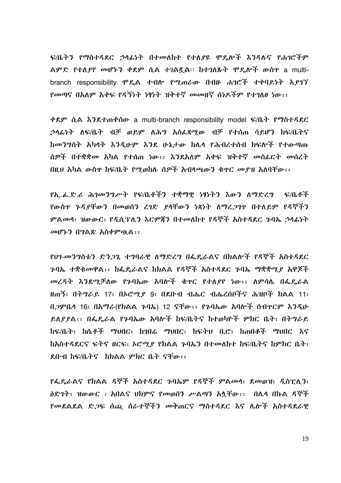ፍ/ቤትን የማስተዳደር ኃላፊነት በተመለከተ የተለያዩ ሞዴሎች እንዳሉና የሐገሮችም ልምድ የተለ*ያየ መ*ሆኑን ቀደም ሲል ተገልጿል። ከተገለጹት ሞዴሎች ውስዋ a multibranch responsibility ሞዴል ተብሎ የሚጠራው በብዙ ሐገሮች ተቀባይነት እያገኘ የመጣና በአለም አቀፍ የዳኝነት ነፃነት ዝቅተኛ መመዘኛ ሰነዶችም የተገለፀ ነው፡፡

ቀደም ሲል እንደተጠቀሰው a multi-branch responsibility model ፍ/ቤት የማስተዳደር ኃላፊነት ለፍ/ቤት ብቻ ወይም ለሕግ አስፌጻሚው ብቻ የተሰጠ ሳይሆን ከፍ/ቤትና ከመንግስት አካላት እንዲሁም እንደ ሁኔታው ከሌላ የሕብረተሰብ ክፍሎች የተውጣጡ ሰዎች በተቋቋመ አካል የተሰጠ ነው፡፡ እንደአለም አቀፍ ዝቅተኛ መስፌርት መሰረት በዚህ አካል ውስዋ ከፍ/ቤት የማወከሉ ሰዎች አብላጫውን ቁዋር መያዝ አለባቸው፡፡

የኢ.ፌ.ድ.ሪ ሕገመንግሥት የፍ/ቤቶችን ተቋማዊ ነፃነትን እውን ስማድረግ ፍ/ቤቶች የውስዋ ጉዳደቸውን በመወሰን ረገድ ደሳቸውን ነጻነት ስማረጋገዋ በተለይም የዳኞችን ምልመሳ፣ ዝውውር፣ የዲሲፕሊን እርምጃን በተመለከተ የዳኞች አስተዳደር ጉባኤ ኃላፊነት መሆኑን በግልጽ አስቀምጧል፡፡

የሀገ-መንግስቱን ድንጋጌ ተግባራዊ ለማድረግ በፌዴራልና በክልሎች የዳኞች አስተዳደር ንባኤ ተቋቁመዋል፡፡ ከፌዴራልና ከክልል የዳኞች አስተዳደር ንባኤ ማቋቋሚያ አዋጆች መረዳት እንደሚቻለው የንባኤው አባሎች ቁዋር የተለያየ ነው፡፡ ለምሳሌ በፌዴራል ዘጠኝ፣ በትግራይ 17፣ በኦሮሚያ 9፣ በደቡብ ብሔር ብሔረሰቦችና ሕዝቦች ክልል 11፣ በ.ጋምቤሳ 16፣ በአማራ(የክልል ጉባኤ) 12 ናቸው፡፡ የጉባኤው አባሎች ሰብዋርም እንዲሁ ይለያያል፡፡ በፌዴራል የንባኤው አባሎች ከፍ/ቤትና ከተወካዮች ምክር ቤት፣ በትግራይ ከፍ/ቤት፣ ከሴቶች ማህበር፣ ከኅበሬ ማህበር፣ ከፍትህ ቢሮ፣ ከጠበቆች ማህበር እና ከአስተዳደርና ፍትና ዘርፍ፣ ኦሮሚያ የክልል ጉባኤን በተመለከተ ከፍ/ቤትና ከምክር ቤት፣ ደቡብ ከፍ/ቤትና ከክልል ምክር ቤት ናቸው፡፡

የፌዴራልና የክልል ዳኞች አስተዳደር ጉባኤም የዳኞች ምልመሳ፣ ደመወዝ፣ ዲስፒሊን፣ ዕድገት፣ ዝውውር ፣ አበልና ህክምና የመወሰን ሥልጣን አሏቸው፡፡ በሌላ በኩል ዳኞች የመደልደል ድጋፍ ሰጪ ሰራተኞችን መቅጠርና ማስተዳደር እና ሌሎች አስተዳደራዊ

19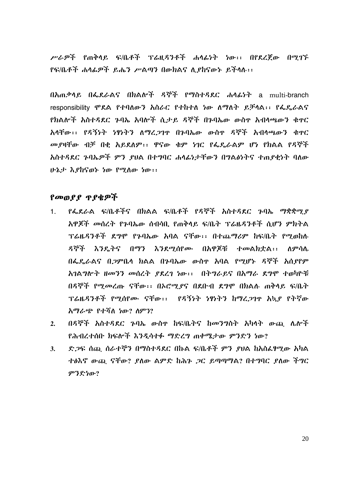ሥራዎች የጠቅሳይ ፍ/ቤቶች ፕሬዚዳንቶች ሐሳፊነት ነው፡፡ በየደረጀው በማገኙ የፍ/ቤቶች ሐሳፊዎች ይሔን ሥልጣን በውክልና ሊያከናውኑ ይችሳሉ፡፡

በአጠቃሳይ በፌደራልና በክልሎች ዳኞች የማስተዳደር ሐሳፊነት a multi-branch responsibility ሞዴል የተባለውን አስራር የተከተለ ነው ለማለት ይቻላል፡፡ የፌዴራልና የክልሎች አስተዳደር ጉባኤ አባሎች ሲታይ ዳኞች በጉባኤው ውስዋ አብላጫውን ቁዋር አላቸው፡፡ የዳኝነት ነፃነትን ለማረጋገዋ በጉባኤው ውስዋ ዳኞች አብላጫውን ቁዋር መያዛቸው ብቻ በቂ አይደለም፡፡ ዋናው ቁም ነገር የፌዴራልም ሆነ የክልል የዳኞች አስተዳደር ጉባኤዎች ምን ያህል በተግባር ሐሳፊነታቸውን በግልፅነትና ተጠያቂነት ባለው ሁኔታ እያከናወኑ ነው የሚለው ነው፡፡

## የመወያያ ጥያቄዎች

- የፌደራል ፍ/ቤቶችና በክልል ፍ/ቤቶች የዳኞች አስተዳደር ጉባኤ ማቋቋሚያ  $1<sup>1</sup>$ አዋጀች መሰረት የንባኤው ሰብሳቢ የጠቅላይ ፍ/ቤት ፕሬዜዳንቶች ሰገየን ምክትል ፕሬዜያንቶች ደግሞ የኁባኤው አባል ናቸው፡፡ በተጨማሪም ከፍ/ቤት የማመከለ ዳኞች እንዴትና በማን እንደማሰየሙ በአዋጀቹ ተመልክቷል፡፡ ለምሳሌ በፌዴራልና በጋምቤሳ ክልል በንባኤው ውስዋ አባል የማሆኑ ዳኞች አሰያየም አገልግሎት ዘመንን መሰረት የደረገ ነው፡፡ በትግራይና በአማራ ደግሞ ተመካዮቹ በዳኞች የሚመረጡ ናቸው፡፡ በኦሮሚያና በደቡብ ደግሞ በክልሉ ጠቅላይ ፍ/ቤት ፕሬዜዳንቶች የሚሰየሙ ናቸው፡፡ የዳኝነት ነፃነትን ከማረጋገዋ አኳያ የትኛው አማራጭ የተሻለ ነው? ለምን?
- በዳኞች አስተዳደር ንባኤ ውስዋ ከፍ/ቤትና ከመንግስት አካላት ውጪ ሌሎች  $2.$ የሕብረተሰቡ ክፍሎች እንዲሳተፉ ማድረግ ጠቀሜታው ምንድን ነው?
- ድ.ጋፍ ሰጪ ሰራተኞን በማስተዳደር በኩል ፍ/ቤቶች ምን ያሀል ከአስፌፃሚው አካል  $3.$ ተፅእኖ ውጪ ናቸው? ደለው ልምድ ከሕጉ ጋር ይጣጣማል? በተግባር ደለው ችግር ምንድነው?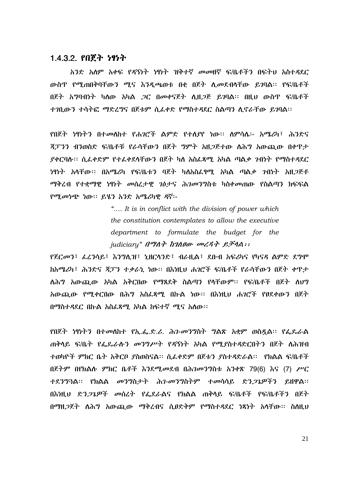#### 1.4.3.2. የበጀት ነፃነት

አንድ አሰም አቀፍ የዳኝነት ነፃነት ዝቅተኛ መመዘኛ ፍ/ቤቶችን በፍትህ አስተዳደር ውስጥ የሚጠበቅባቸውን ሚና እንዲጫወቱ በቂ በጀት ሊመደብሳቸው ይገባል፡፡ የፍ/ቤቶች በጀት አግባብነት ካስው አካል *ጋ*ር በመቀናጀት ሲዘ*ጋ*ጅ ይገባል፡፡ በዚህ ውስጥ ፍ/ቤቶች ተገቢውን ተሳትፎ ማድረግና በጀቱም ሲራቀድ የማስተዳደር ስልጣን ሲኖራቸው ይገባል፡፡

የበጀት ነፃነትን በተመለከተ የሐገሮች ልምድ የተለያየ ነው። ስምሳሴ፡- አሜሪካ፣ ሕንድና ጃፓንን ብንወስድ ፍ/ቤቶቹ የራሳቸውን በጀት ግምት አዘጋጅተው ለሕግ አውጪው በቀዋታ ያቀርባሉ። ሲፈቀድም የተፈቀደላቸውን በጀት ካስ አስፈጻሚ አካል ጣልቃ ንብነት የማስተዳደር *ነ*ዋነት አሳቸው፡፡ በአሜሪካ የፍ/ቤቱን ባጀት ካለአስፌፃሚ አካል ጣል*ቃ ገ*ብነት አዘ*ጋ*ጅቶ ማቅረብ የተቋማዊ ነፃነት መሰረታዊ ገፅታና ሕገመንግስቱ ካስቀመጠው የስልጣን ክፍፍል የሚመነጭ ነው። ይሄን አንድ አሜሪካዊ ዳኛ፡-

> ".... It is in conflict with the division of power which the constitution contemplates to allow the executive department to formulate the budget for the judiciary"  $\theta$ *<sup>Th</sup>*  $\theta$ <sup>+</sup>  $\theta$ <sup>+</sup>  $\theta$ <sup>+</sup> $\theta$ <sup>+</sup> $\theta$ <sup>+</sup> $\theta$ <sup>+</sup> $\theta$ <sup>+</sup> $\theta$ <sup>+</sup> $\theta$ <sup>+</sup> $\theta$ <sup>+</sup> $\theta$ <sup>+</sup> $\theta$

የጀርመን፣ ፌረንሳይ፣ እንግሊዝ፣ ኒዘርሳንድ፣ ብራዚል፣ ደቡብ አፍሪካና የካናዳ ልምድ ደግሞ ክአሜሪካ፣ ሕንድና ጃፓን ተቃራኒ ነው። በእነዚህ ሐንሮች ፍ/ቤቶች የራሳቸውን በጀት ቀዋታ ለሕግ አውጪው አካል አቅርበው የማጸደቅ ስልጣን የሳቸውም፡፡ የፍ/ቤቶች በጀት ስህግ አውጪው የሚቀርበው በሕግ አስፌጻሚ በኩል ነው። በእነዚህ ሐንሮች የፀደቀውን በጀት በማስተዳደር በኩል አስፌጻሚ አካል ከፍተኛ ሚና አለው፡፡

የበጀት ነፃነትን በተመሰከተ የኢ.ፌ.ድ.ሪ. ሕገ-መንግስት ግልጽ አቋም ወስዷል፡፡ የፌዶራል ጠቅሳይ ፍ/ቤት የፌጼራሱን መንግሥት የዳኝነት አካል የሚያስተዳድርበትን በጀት ስሕዝብ ተወካዮች ምክር ቤት አቅርቦ ያስወስናል፡፡ ሲፌቀድም በጀቱን ያስተዳድራል፡፡ የክልል ፍ/ቤቶች በጀትም በየክልሱ ምክር ቤቶች እንደሚመደብ በሕገመንግስቱ አንቀጽ 79(6) እና (7) ሥር ተደንግጓል፡፡ የክልል መንግስታት ሕን-መንግስትም ተመሳሳይ ድን*ጋጌ*ዎችን ይዘዋል፡፡ በእነዚህ ድን*ጋጌዎች መ*ሰረት የፌደራልና የክልል ጠቅሳይ ፍ/ቤቶች የፍ/ቤቶችን በጀት በማዘ*ጋ*ጀት ለሕግ አውጪው ማቅረብና ሲፀድቅም የማስተዳደር ነጻነት አሳቸው፡፡ ስስዚህ

21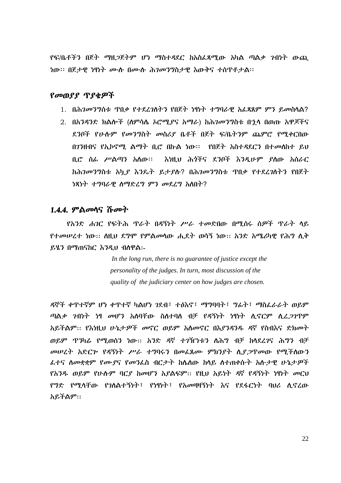የፍ/ቤቶችን በጀት *ማ*ዘ*ጋ*ጀትም ሆነ ማስተዳደር ከአስፌጻሚው አካል ጣል*ቃ ገ*ብነት ውጪ ነው። በጀታዊ ነፃነት ሙሉ በሙሉ ሕገመንግስታዊ እውቅና ተሰዋቶታል።

#### የመወያያ ጥያቂዎች

- 1. በሕገመንግስቱ ዋበቃ የተደረገሰትን የበጀት ነፃነት ተግባራዊ አፌጻጸም ምን ይመስሳል?
- 2. በአንዳንድ ክልሎች (ስምሳሴ ኦሮሚያና አማራ) ከሕገመንግስቱ በኋሳ በወጡ አዋጆችና ደንቦች የሁሉም የመንግስት መስሪደ ቤቶች በጀት ፍ/ቤትንም ጨምሮ የሚቀርበው በንንዘብና የኢኮኖሚ ልማት ቢሮ በኩል ነው፡፡- የበጀት አስተዳደርን በተመለከተ ይህ ቢሮ ሰፊ ሥልጣን አስው። እነዚህ ሕጎችና ደንቦች እንዲሁም ያስው አሰራር ከሕገመንግስቱ አኳ*ያ እን*ጼት ይታያሉ? በሕገመንግስቱ ጥበቃ የተደረገስትን የበጀት ነጻነት ተግባራዊ ስማድረግ ምን መደረግ አስበት?

#### 1.4.4. ምልመሳና ሹመት

*የአን*ድ ሐ*ገ*ር የፍትሕ ጥራት በዳኝነት ሥራ ተመድበው በሚሰሩ ሰዎች ጥራት ላይ የተመሠረተ ነው፡፡ ስዚህ ደግሞ የምልመሳው ሒደት ወሳኝ ነው፡፡ አንድ አሜሪካዊ የሕግ ሲቅ ይሄን በማጠናከር እንዲህ ብለዋል:-

> In the long run, there is no guarantee of justice except the personality of the judges. In turn, most discussion of the quality of the judiciary center on how judges are chosen.

ዳኞች ቀጥተኛም ሆነ ቀጥተኛ ካልሆነ ገደብ፣ ተፅእኖ፣ ማግባባት፣ ግፊት፣ ማስፌራራት ወይም ጣልቃ *ገ*ብነት ነፃ መሆን አለባቸው ስስተባስ ብቻ የዳኝነት ነፃነት ሲኖርም ሲ*ሬጋገ*ጥም አይችልም፡፡ የእነዚህ ሁኔታዎች መኖር ወይም አስመኖር በእያንዳንዱ ዳኛ የስብእና ድክመት ወይም ጥንካሬ የሚወሰን ነው፡፡ አንድ ዳኛ ተንዥነቱን ለሕግ ብቻ ከሳደረገና ሕግን ብቻ መሠረት አድርሎ የዳኝነት ሥራ ተግባሩን በመፌጸሙ ምክንያት ሲያጋዋመው የሚችስውን ፌተና ስመቋቋም የሙያና የመንፌስ ብርታት ከሴስው ከላይ ስተጠቀሱት አሱታዊ ሁኔታዎች የአንዱ ወይም የሁሱም ባርያ ከመሆን አያልፍም፡፡ የዚህ አይነት ዳኛ የዳኝነት ነፃነት መርህ የግድ የሚላቸው የንለልተኝነት፣ የነፃነት፣ የአመዛዛኝነት እና የደፋርነት ባህራ ሊኖረው አይችልም።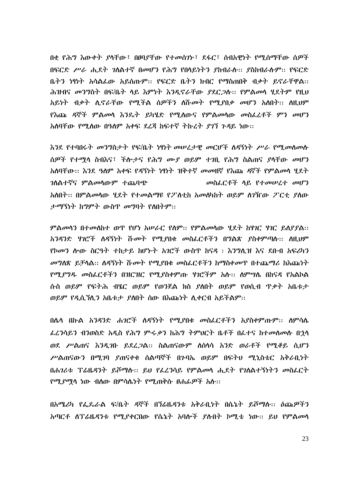በቂ የሕግ እውቀት ያላቸው፣ በፀባያቸው የተመስንኑ፣ ደፋር፣ ስብአዋነት የሚሰማቸው ስዎች በፍርድ ሥራ ሒደት ገለልተኛ በመሆን የሕግ የበላይነትን ያከብራሉ፡፡ ያስከብራሉም፡፡ የፍርድ ቤትን ነፃነት አሳልፌው አይሰጡም፡፡ የፍርድ ቤትን ክብር የማስጠበቅ ብቃት ይኖራቸዋል፡፡ ሕዝብና መንግስት በፍ/ቤት ላይ እምነት እንዲኖራቸው ያደር*ጋ*ሱ፡፡ የምልመላ ሂደትም የዚህ አይነት ብቃት ሲኖራቸው የሚችል ሰዎችን ስሹመት የሚያበቃ መሆን አስበት፡፡ ስዚህም የእጨ ዳኞች ምልመሳ እንዴት ይካሄድ የሚለውና የምልመሳው መስፌረቶች ምን መሆን አለባቸው የሚለው በዓለም አቀፍ ደረጃ ከፍተኛ ትኩረት ያገኘ ጉዳይ ነው፡፡

እንደ የተባበሩት መንግስታት የፍ/ቤት ነፃነት መሠረታዊ መርሆች ስዳኝነት ሥራ የሚመስመስ ሰዎች የተሚላ ስብእና፣ ችሎታና የሕግ ሙያ ወይም ተገቢ የሕግ ስልጠና ያላቸው መሆን አለባቸው። እንደ ዓለም አቀፍ የዳኝነት ነፃነት ዝቅተኛ መመዘኛ የእጩ ዳኛች የምልመሳ ሂደት *ገ*ለልተኛና ምልመላውም ተጨባጭ መስፌርቶች ሳይ የተመሠረተ መሆን አለበት፡፡ በምልመላው ሂደት የተመልማዩ የፖለቲከ አመለካከት ወይም ስንዥው ፖርቲ ያለው ታማኝነት ከግምት ውስጥ መግባት የስበትም፡፡

ምልመሳን በተመስከተ ወጥ የሆነ አሠራር የስም፡፡ የምልመሳው ሂደት ከሃገር ሃገር ይስያያል፡፡ አንዳንድ ሃገሮች ስዳኝነት ሹ*መት የሚያ*በቁ መስፌርቶችን በግልጽ ያስቀምጣሉ፡፡ ስዚህም የኮመን ሎው ስርዓት ተከታይ ከሆኑት አንሮች ውስዋ ከናዳ ፡ እንግሊዝ እና ደቡብ አፍሪካን መግለጽ ይቻሳል፡፡ ለዳኝነት ሹመት የሚያበቁ መስፌርቶችን ከማስቀመጥ በተጨማሪ ከእጩነት የሚደግዱ መስፌርቶችን በዝርዝር የሚደስቀምጡ ሃገሮችም አሱ፡፡ ስምሣሴ በከናዳ የአልኮል ሱስ ወይም የፍትሕ ብሄር ወይም የወንጀል ክስ ያለበት ወይም የወሲብ ጥቃት አቤቱታ ወይም የዲሲኘሲን አቤቱታ ያስበት ሰው በእጩነት ሲቀርብ አይችልም፡፡

በሴሳ በኩል አንዳንድ ሐ*ገ*ሮች ለዳኝነት የሚያበቁ መስፌርቶችን አያስቀምጡም፡፡ ሰምሳሴ ፌረንሳይን ብንወስድ አዲስ የሕግ ምሩቃን ከሕግ ትምህርት ቤቶች በፌተና ከተመሰመሱ በኋላ ወደ ሥልጠና እንዲገቡ ይደረ*ጋ*ል። ስልጠናውም ስሰሳሳ አንድ ወራቶች የሚቆይ ሲሆን ሥልጠናውን በሚገባ ያጠናቀቁ ሰልጣኞች በንባኤ ወይም በፍትህ ሚኒስቴር አቅራቢነት በሐገሪቱ ፐሬዜዳንት ይሾማሱ፡፡ ይህ የፌረንሳይ የምልመሳ ሒደት የገለልተኝነትን መስፌርት *የሚያማ*ሳ ነው ብስው በምሳሌነት የሚጠቅሱ ፀሐፊ*ዎች* አሱ፡፡

በአሜሪካ የፌዶራል ፍ/ቤት ዳኞች በኘሬዜዳንቱ አቅራቢነት በሴኔት ይሾማሱ፡፡ ዕጩዎችን አጣርቶ ሰፓሬዜ*ዳንቱ የሚያቀር*በው የሴኔት አባሎች ያሉበት ኮሚቴ ነው። ይህ የምል*መ*ሳ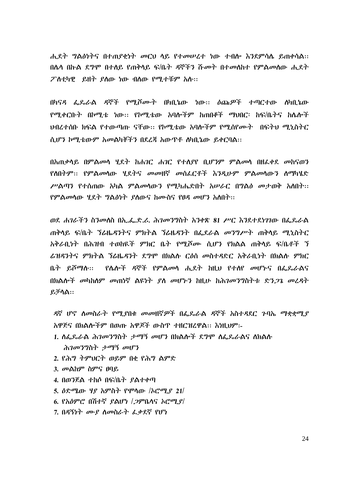ሐደት ግልፅነትና በተጠየቀነት መርህ ላይ የተመሠረተ ነው ተብሎ እንደምሳሌ ይጠቀሳል:: በሌላ በኩል ደግሞ በተለይ የጠቅላይ ፍ/ቤት ዳኞችን ሹመት በተመስከተ የምልመስው ሒደት ፖለቲካዊ ይዘት ያስው ነው ብስው የሚታቹም አሱ::

በካናዳ ፌጼራል ዳኞች የሚሾሙት በካቢኔው ነው፡፡ ዕጩዎች ተጣርተው ለካቢኔው የሚቀርቡት በኮሚቴ ነው፡፡ የኮሚቴው አባሎችም ከጠበቆች ማህበር፡ ከፍ/ቤትና ከሌሎች <u>ህብረተሰቡ ክፍል የተውጣጡ ናቸው፡፡ የኮሚቴው አባሎችም የሚሰየሙት - በፍትህ ሚኒስትር</u> ሲሆን ኮሚቴውም አመልካቾችን በደረጃ አውዋቶ ለካቢኔው ይቀርባል::

በአጠቃሳይ በምልሙሳ ሂደት ከሐንር ሐንር የተለያየ ቢሆንም ምልሙሳ በዘፈቀደ መከናወን የስበትም:: የምልመሳው ሃደትና መመዘኛ መስፈርቶች እንዲሁም ምልመሳውን ስማካሄድ ሥልጣን የተሰጠው አካል ምልመሳውን የሚካሔድበት አሠራር በግልፅ መታወቅ አለበት፡፡ የምልመሳው ሂደት ግልፅነት ያለውና ከሙስና የፀዳ መሆን አለበት::

ወደ ሐገራችን ስንመለስ በኢ.ፌ.ድ.ሪ. ሕገመንግስት አንቀጽ 81 ሥር እንደተደነገገው በፌዴራል ጠቅሳይ ፍ/ቤት ኘሬዜዳንትና ምክትል ኘሬዜዳንት በፌደራል መንግሥት ጠቅሳይ ሚኒስትር አቅራቢነት በሕዝብ ተወከዪች ምክር ቤት የሚሾሙ ሲሆን የክልል ጠቅላይ ፍ/ቤቶች ኘ ሬዝዳንትና ምክትል ንሬዜዳንት ደግሞ በክልሉ ርዕስ መስተዳድር አቅራቢነት በክልሉ ምክር ቤ*ት ይሾማ*ሉ:: በክልሎች መካከለም መጠነኛ ልዩነት ያለ መሆኑን ከዚሁ ከሕገመንግስትቱ ድን*ጋጌ* መረዳት ይቻሳል።

ዳኛ ሆኖ ስመስራት የሚያበቁ መመዘኛዎች በፌዴራል ዳኞች አስተዳደር ጉባኤ ማቋቋሚያ አዋጅና በክልሎችም በወጡ አዋጆች ውስጥ ተዘርዝረዋል። እነዚህም፡-

- 1. ስፌዴራል ሕ*ገመንግ*ስት *ታማኝ መ*ሆን በክልሎች ደግሞ ስፌዴራልና ስክልሱ ሕገመንግስት ታማኝ መሆን
- 2. የሕግ ትምህርት ወይም በቂ የሕግ ልምድ
- 3. መልከም ስምና ፀባይ
- 4. በወንጀል ተከሶ በፍ/ቤት ያልተቀጣ
- 5. ዕድሜው ሃያ አምስት የሞሳው /ኦሮሚያ 21/
- 6. የአዕምሮ በሽተኛ ያልሆነ / 2ምቤሳና አሮሚያ/
- 7. በዳኝነት ሙያ ስመስራት ፌቃደኛ የሆነ

 $24$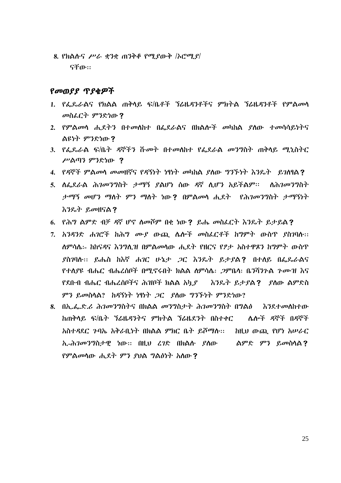8. የክልሱና ሥራ ቋንቋ ጠንቅቆ የሚያውቅ /ኦሮሚ $\mathcal{L}$ ናቸው።

#### የመወያያ ጥያቂዎች

- 1. የፌዴራልና የክልል ጠቅላይ ፍ/ቤቶች ኘሬዜዳንቶችና ምክትል ኘሬዜዳንቶች የምልመሳ መስፌርት ምንድነው?
- 2. የምልመሳ ሒደትን በተመሰከተ በፌደራልና በክልሎች መካከል ያሰው ተመሳሳይነትና ልዩነት ምንድነው?
- 3. የፌዴራል ፍ/ቤት ዳኞችን ሹመት በተመለከተ የፌደራል መንግስት ጠቅላይ ሚኒስትር ሥልጣን ምንድነው ?
- 4. የዳኞች ምልመሳ መመዘኛና የዳኝነት ነፃነት መካከል ያስው ግንኙነት እንዴት ይገለፃል?
- 5. ለፌደራል ሕገመንግስት ታማኝ ያልሆነ ሰው ዳኛ ሲሆን አይችልም፡፡ ለሕገመንግስት ታማኝ መሆን ማስት ምን ማስት ነው? በምልመሳ ሒደት የሕገመንግስት ታማኝነት እንዴት ይመዘናል?
- 6. የሕግ ልምድ ብቻ ዳኛ ሆኖ ስመሾም በቂ ነው? ይሔ መስፌርት እንዴት ይታይል?
- 7. አንዳንድ ሐገሮች ከሕግ ሙያ ውጪ ሌሎች መስፌርቶች ከግምት ውስጥ ያስገባሉ፡፡ ስምሳሴ፡- ከከናዳና እንግሊዝ በምልመሳው ሒደት የዘርና የፆታ አስተዋጾን ከግምት ውስጥ ያስገባሱ፡፡ ይሔስ ከእኛ ሐገር ሁኔታ ጋር እንዴት ይታያል? በተሰይ በፌጼራልና የተሰያዩ ብሔር ብሔረሰቦች በሚኖሩበት ክልል ስምሳሴ፡ *ጋ*ምቤሳ፡ ቤንሻንጉል *ጉሙዝ* እና <u>የደቡብ ብሔር ብሔረሰቦችና ሕዝቦች ክልል አካ*ያ እን*ኤት ይታያል**?** ያለው ልምድስ</u> ምን ይመስላል? ከዳኝነት ነፃነት ጋር ያለው ግንኙነት ምንድነው?
- 8. በኢ.ፌ.ድ.ሪ ሕገመንግስትና በክልል መንግስታት ሕገመንግስት በግልፅ እንደተመለከተው ከጠቅሳይ ፍ/ቤት ኘሬዜዳንትና ምክትል ኘሬዜደንት በስተቀር ሌሎች ዳኞች በዳኞች አስተዳደር ንባኤ አቅራቢነት በክልል ምክር ቤት ይሾማሉ፡፡ ከዚህ ውጪ የሆነ አሠራር ኢ-ሕገመንግስታዊ ነው። በዚህ ረገድ በክልሉ ያለው ፡፡ ልምድ ምን ይመስላል? የምልመሳው ሒደት ምን ያህል ግልፅነት አስው?

25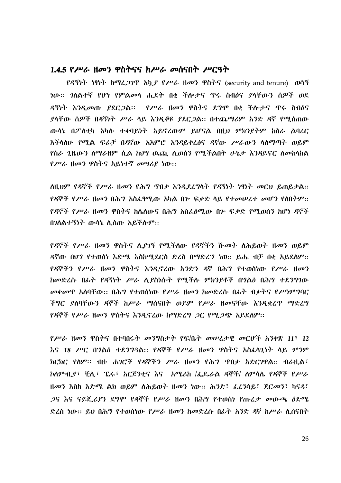#### 1.4.5 የሥራ ዘመን ዋስትናና ከሥራ መሰናበት ሥርዓት

የዳኝነት ነፃነት ከማፈ*ጋገ*ጥ አካ*ያ የሥራ* ዘመን ዋስትና (security and tenure) ወሳኝ ዳኝነት እንዲመጡ ያደር*ጋ*ል። የሥራ ዘመን ዋስትና ደግሞ በቂ ችሎታና ዋሩ ስብዕና ያላቸው ሰዎች በዳኝነት ሥራ ሳይ እንዲቆዩ ያደርጋል። በተጨማሪም አንድ ዳኛ የሚሰጠው ውሳኔ በፖለቲካ አካሉ ተቀባይነት አይኖረውም ይሆናል በዚህ ምክንያትም ከስራ ልባረር እችላስሁ የሚል ፍራቻ በዳኛው አእምሮ እንዳይቀረፅና ዳኛው ሥራውን ሳስማጣት ወይም የስራ ጊዜውን ስማራዘም ሲል ከሀግ ዉጪ ሲወሰን የሚችልበት ሁኔታ እንዳይኖር ስመከላከል *የሥራ ዘመን ዋ*ስትና አይነተኛ *መሣሪያ ነ*ው።

ስዚህም የዳኞች የሥራ ዘመን የሕግ ጥበቃ እንዲደረግሳት የዳኝነት ነፃነት መርህ ይጠይቃል፡፡ የዳኞች የሥራ ዘመን በሕግ አስፌፃሚው አካል በም ፍቃድ ላይ የተመሠረተ መሆን የሰበትም፡፡ *የዳ*ኞች *የሥራ ዜመን ዋ*ስትና ከሌለውና በሕግ አስፌፅሚው በ<u>ሥፍቃድ የሚወሰን ከሆነ ዳኞ</u>ች በንስልተኝነት ውሳኔ ሲሰጡ አይችሱም፡፡

<u>የዳኞች የሥራ ዘመን ዋስትና ሊያገኝ የሚችለው የዳኞችን ሹመት ለሕይወት ዘመን ወይም</u> ዳኛው በሀግ የተወሰነ እድሜ እስከሚደርስ ድረስ በማድረግ ነወ፡፡ ይሔ ብቻ በቂ አይደስም፡፡ የዳኞችን የሥራ ዘመን ዋስትና እንዳኖረው አንድን ዳኛ በሕግ የተወሰነው የሥራ ዘመን ከመድረሱ በፊት የዳኝነት ሥራ ሲያስነሱት የሚችሉ ምክንያቶች በግልፅ በሕግ ተደንግገው መቀመጥ አስባቸው። በሕግ የተወሰነው የሥራ ዘመን ከመድረሱ በፊት ብቃትና የሥነምግባር ችግር ያለባቸውን ዳኞች ከሥራ ማሰናበት ወይም የሥራ ዘመናቸው እንዲቋረጥ ማድረግ <u>የዳኞች የሥራ ዘመን ዋስትና እንዲኖረው ከማድረግ *ጋ*ር የሚ*ጋጭ* አይደለም፡፡</u>

የሥራ ዘመን ዋስትና በተባበሩት መንግስታት የፍ/ቤት መሠረታዊ መርሆች አንቀጽ 11፣ 12 እና 18 ሥር በ**ግልፅ ተደንግ**3ል። የዳኞች የሥራ ዘመን ዋስትና አስፈላጊነት ላይ ምንም ክርክር የስም፡፡ ብዙ ሐገሮች የዳኞችን ሥራ ዘመን የሕግ ጥበቃ አድርገዋል፡፡ ብራዚል፣ ኮስም ቢያ፣ ቺሊ፣ ፔሩ፣ አርጀንቲና እና አሜሪክ /ፌጼራል ዳኞች/ ስምሳሌ የዳኞች የሥራ ዘመን እስከ እድሜ ልክ ወይም ለሕይወት ዘመን ነው፡፡ ሕንድ፣ ፌረንሳይ፣ ጀርመን፣ ካናዳ፣ *ጋ*ና እና ናይጄ*ሪያን* ደግሞ የዳኞች የሥራ ዘመን በሕግ የተወሰነ የጡረታ መውጫ ዕድሜ ድረስ ነው። ይህ በሕግ የተወሰነው የሥራ ዘመን ከመድረሱ በፊት አንድ ዳኛ ከሥራ ሊሰናበት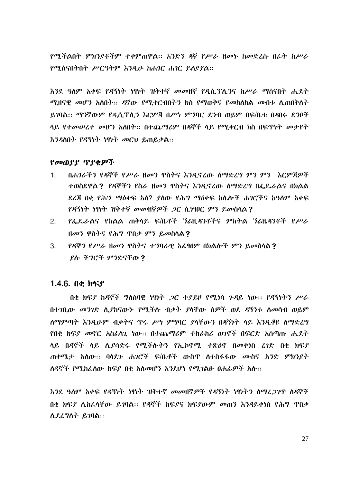የሚችልበት ምክንያቶችም ተቀምጠዋል። አንድን ዳኛ የሥራ ዘመኑ ከመድረሱ በፊት ከሥራ የሚሰናበትበት ሥርዓትም እንዲሁ ከሐገር ሐገር ይስያያል::

እንደ ዓለም አቀፍ የዳኝነት ነፃነት ዝቅተኛ መመዘኛ የዲሲፕሊንና ከሥራ ማሰናበት ሒደት ሚዘናዊ መሆን አስበት፡፡ ዳኛው የሚቀርብበትን ክስ የማወቅና የመከለከል መብቱ ሲጠበቅስት ይገባል፡፡ ማንኛውም የዲሲፕሊን እርምጃ በሥነ ምግባር ደንብ ወይም በፍ/ቤቱ በዳበሩ ደንቦች ላይ የተመሠረተ መሆን አለበት፡፡ በተጨማሪም በዳኞች ላይ የሚቀርብ ክስ በፍጥነት መታየት እንዳለበት የዳኝነት ነፃነት መርህ ይጠይቃል::

#### የመወያያ ጥያቂዎች

- በሐገራችን የዳኞች የሥራ ዘመን ዋስትና እንዲኖረው ስማድረግ ምን ምን እርምጃዎች  $\mathbf{1}$ ተወስደዋል? የዳኞችን የስራ ዘመን ዋስትና እንዲኖረው ስማድረግ በፌዴራልና በክልል ደረጃ በቂ የሕግ ማዕቀፍ አለ? ደለው የሕግ ማዕቀፍ ከሌሎች ሐንሮችና ከዓለም አቀፍ የዳኝነት ነፃነት ዝቅተኛ መመዘኛዎች ጋር ሲነፃፀር ምን ይመስላል?
- የፌዶራልና የክልል ጠቅላይ ፍ/ቤቶች ኘሬዚዳንቶችና ምክትል ኘሬዜዳንቶች የሥራ  $2.$ ዘመን ዋስትና የሕግ ጥበቃ ምን ይመስሳል?
- የዳኞን የሥራ ዘመን ዋስትና ተግባራዊ አፌፃፀም በክልሎች ምን ይመስላል?  $3.$ ያሉ ችግሮች ምንድናቸው?

#### 1.4.6.  $0 \notin \mathcal{H}$

በቂ ክፍያ ከዳኞች ግለሰባዊ ነፃነት ጋር ተያይዞ የሚነሳ ጉዳይ ነው፡፡ የዳኝነትን ሥራ በተገቢው መንገድ ሲያከናውኑ የሚችሉ ብቃት ያሳቸው ሰዎች ወደ ዳኝንቱ ስመሳብ ወይም ስማምጣት እንዲሁም ብቃትና ጥሩ ሥነ ምግባር ያሳቸውን በዳኝነት ሳይ እንዲቆዩ ስማድረግ የበቂ ክፍደ መኖር አስፌሳጊ ነው፡፡ በተጨማሪም ተከራከሪ ወገኖች በፍርድ አሰጣጡ ሒደት ሳይ በዳኞች ሳይ ሲያሳድሩ የሚችሉትን የኢኮኖሚ ተጽዕኖ በመቀነስ ረገድ በቂ ክፍያ ጠቀሜታ አለው፡፡ ባላደን ሐንሮች ፍ/ቤቶች ውስዋ ለተስፋፋው ሙስና አንድ ምክንያት ለዳኞች የሚከፈለው ክፍደ በቀ አለመሆን እንደሆነ የሚገልፁ ፀሐፌዎች አሉ:::

እንደ ዓለም አቀፍ የዳኝነት ነፃነት ዝቅተኛ መመዘኛዎች የዳኝነት ነፃነትን ስማፈጋገጥ ስዳኞች በቂ ክፍደ ሊከፈላቸው ይንባል። የዳኞች ክፍደና ክፍደውም መጠን እንዳይቀነስ የሕግ ጥበቃ ሲደረግስት ይገባል::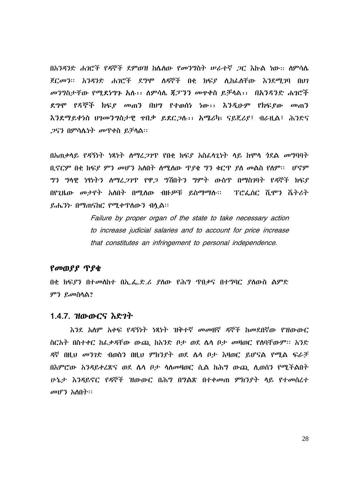በአንዳንድ ሐንሮች የዳኞች ደምወዝ ከሌለው የመንግስት ሠራተኛ *ጋ*ር እኩል ነው፡፡ ስምሳሌ ጀርመን። አንዳንድ ሐገሮች ደግሞ ስዳኞች በቂ ክፍደ ሲከፌስቸው እንደሚገባ በሀገ መንግስታቸው የሚደነግጉ አሉ፡፡ ለምሳሌ ጀፓንን መዋቀስ ይቻላል፡፡ በአንዳንድ ሐገሮች ደግሞ የዳኞች ክፍደ መጠን በሀግ የተወሰነ ነው፡፡ እንዲሁም የክፍደው መጠን እንደማይቀነስ ሀገመንግስታዊ ዋበቃ ይደር,ጋሉ፡፡ አሜሪካ፣ ናይጄሪያ፣ ብራዚል፣ ሕንድና *ጋ*ናን በምሳሴነት መጥቀስ ይቻሳል፡፡

በአጠቃሳይ የዳኝነት ነጻነት ስማፈ*ጋገ*ጥ የበቂ ክፍ*ያ* አስፈሳጊነት ሳይ ከሞሳ *ጎ*ደል መግባባት ቢኖርም በቂ ክፍያ ምን መሆን አለበት ስሚስው ጥያቂ ግን ቁርጥ ያስ መልስ የስም፡፡ ሀኖም *ግን ግ*ላዊ ነፃነት*ን ለማረጋገ*ጥ የዋ*ጋ ግ*ሽበትን ግምት ውስጥ በማስገባት የዳኞች ክፍያ በየጊዜው መታየት አስበት በሚለው ብዙዎቹ ይስማማሉ፡፡ ፕሮፌሰር ሺሞን ሼትሪት ይሔንኩ በማጠናከር የሚቀጥሰውን ብሏል፡፡

> Failure by proper organ of the state to take necessary action to increase judicial salaries and to account for price increase that constitutes an infringement to personal independence.

#### የመወያያ ጥያቂ

በቂ ክፍያን በተመለከተ በኢ.ፌ.ድ.ሪ ያለው የሕግ ጥበቃና በተግባር ያለውስ ልምድ ምን ይመስሳል?

#### 1.4.7. ዝውውርና እድንተ

እንደ አለም አቀፍ የ*ዳ*ኝነት ነጻነት ዝቅተኛ መመዘኛ ዳኞች ከመደበኛው የዝውውር ስርአት በስተቀር ከፌቃዳቸው ውጪ ከአንድ ቦታ ወደ ሌሳ ቦታ መዛወር የሰባቸውም። አንድ ዳኛ በዚህ መንገድ ብወስን በዚህ ምክንያት ወደ ሴሳ ቦታ እዛወር ይሆናል የሚል ፍራቻ በእምሮው አንዳይቀረጽና ወደ ሌሳ ቦታ ሳለመዛወር ሲል ከሕግ ውጪ ሲወሰን የሚችልበት ሁኔታ እንዳይኖር የዳኞች ዝውውር በሕግ በግልጽ በተቀመጠ ምክንያት ላይ የተመሰረተ መሆን አለበት።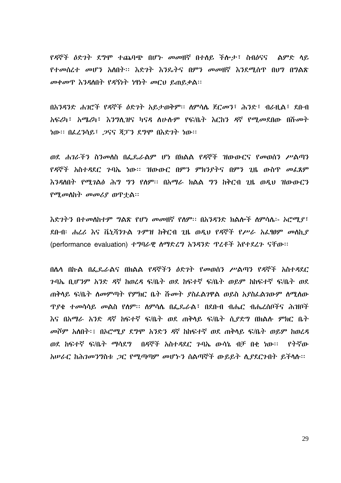የዳኞች ዕድንት ደግሞ ተጨባጭ በሆኑ መመዘኛ በተለይ ችሎታ፣ ስብዕናና "ልምድ ላይ *የተመሰረተ መሆን አስ*በት፡፡ እድ*ገ*ት እንዴትና በምን መመዘኛ እንደሚሰጥ በሀግ በግልጽ መቀመጥ እንዳለበት የዳኝነት ነፃነት መርህ ይጠይቃል፡፡

በአንዳንድ ሐገሮች የዳኞች ዕድገት አይታወቅም፡፡ ስምሳሴ ጀርመን፣ ሕንድ፣ ብራዚል፣ ደቡብ አፍሪካ፣ አሜሪካ፣ እንግሲዝና ካናዳ ለሁሉም የፍ/ቤት እርከን ዳኛ የሚመደበው በሹመት ነው። በፌረንሳይ፤ 2ናና ጃፓን ደግሞ በእድገት ነው።

ወደ ሐገራችን ስንመሰስ በፌዴራልም ሆነ በክልል የዳኞች ዝውውርና የመወሰን ሥልጣን የዳኞች አስተዳደር ንባኤ ነው፡፡ ዝውውር በምን ምክንያትና በምን ጊዜ ውስጥ መፌጸም እንዳለበት የሚገልፅ ሕግ ግን የሰም፡፡ በአማራ ክልል ግን ከቅርብ ጊዜ ወዲህ ዝውውርን የሚመስከት መመሪያ ወዋተል።

እድገትን በተመለከተም ግልጽ የሆነ መመዘኛ የለም፡፡ በአንዳንድ ክልሎች ለምሳሴ፡- አሮሚያ፣ ደቡብ፡ ሐረሪ እና ቬኒሻንጉል ጉምዝ ከቅርብ ጊዜ ወዲህ የዳኞች የሥራ አፌፃፀም መሰኪያ (performance evaluation) ተግባራዊ ስማድረግ አንዳንድ ጥረቶች እየተደረጉ ናቸው፡፡

በሴሳ በኩል በፌዴራልና በክልል የዳኞችን ዕድንት የመወሰን ሥልጣን የዳኞች አስተዳደር <u>ንባኤ ቢሆንም አንድ ዳኛ ከወረዳ ፍ/ቤት ወደ ከፍተኛ ፍ/ቤት ወይም ከከፍተኛ ፍ/ቤት ወደ</u> ጠቅሳይ ፍ/ቤት ስመምጣት የምክር ቤት ሹመት ያስፌልገዋል ወይስ አያስፌልገውም ስሚስው *ዋያቂ ተመ*ሳሳይ *መ*ልስ የሰም። ሰምሳሌ በፌዴራል፣ በደቡብ ብሔር ብሔረሰቦችና ሕዝቦች እና በአማራ አንድ ዳኛ ከፍተኛ ፍ/ቤት ወደ ጠቅላይ ፍ/ቤት ሲደድግ በክልሉ ምክር ቤት መሾም አለበት፡፤ በኦሮሚያ ደግሞ አንድን ዳኛ ከከፍተኛ ወደ ጠቅሳይ ፍ/ቤት ወይም ከወረዳ ወደ ከፍተኛ ፍ/ቤት ማሳደግ በዳኞች አስተዳደር ንባኤ ውሳኔ ብቻ በቂ ነው፡፡ የትኛው አሠራር ከሕገመንግስቱ *ጋ*ር የሚጣጣም መሆኑን ስልጣኞች ውይይት ሲያደርጉበት ይችሳሉ፡፡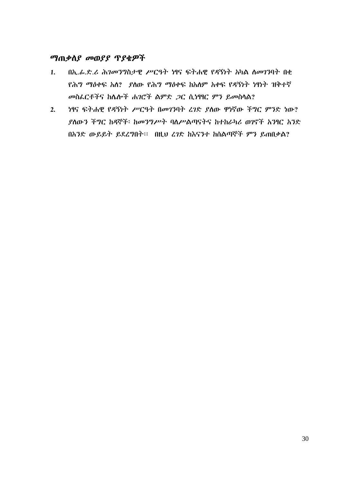# *ግጠቃስያ መወያያ ፕያቂዎች*

- በኢ.ፊ.ድ.ሪ ሕገመንግስታዊ ሥርዓት ነፃና ፍትሐዊ የዳኝነት አካል ስመገንባት በቂ  $1.$ <u>የሕግ ማዕቀፍ አለ? ያለው የሕግ ማዕቀፍ ከአለም አቀፍ የዳኝነት ነፃነት ዝቅተኛ</u> መስፌርቶችና ከሌሎች ሐገሮች ልምድ *ጋ*ር ሲነፃፃር ምን ይመስሳል?
- ነፃና ፍትሐዊ የዳኝነት ሥርዓት በመገንባት ረገድ ያስው ዋነኛው ችግር ምንድ ነው?  $2.$ ያስውን ችግር ከዳኞች፡ ከመንግሥት ባለሥልጣናትና ከተከራካሪ ወገኖች አንፃር አንድ በአንድ ውይይት ይደረግበት። በዚህ ረገድ ከእናንተ ከሰልጣኞች ምን ይጠበቃል?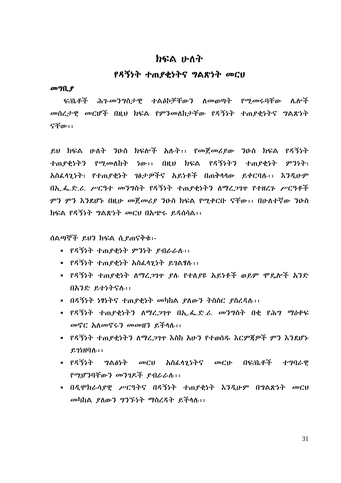# わらぬ ルハヤ

# የዳኝነት ተጠያቂነትና ግልጽነት መርሀ

#### $\omega$   $\eta$   $\theta$

ፍ/ቤቶች ሕገ-መንግስታዊ ተልዕኮቻቸውን ለመወጣት የሚመሩባቸው ሌሎች መሰረታዊ መርሆች በዚህ ክፍል የምንመለከታቸው የዳኝነት ተጠያቂነትና ግልጽነት ናቸው።

ይህ ክፍል ሁለት ንዑስ ክፍሎች አሉት፡፡ የመጀመሪያው ንዑስ ክፍል የዳኝነት ተጠ*ያቂነትን የሚመ*ለከት ነው፡፡ በዚህ ክፍል የዳኝነትን ተጠያቂነት ምንነት፣ አስፌሳጊነት፣ የተጠያቂነት ገፅታዎችና አይነቶች በጠቅሳሳው ይቀርባሉ፡፡ እንዲሁም በአ..ፌ.ድ.ሪ. ሥርዓተ መንግስት የዳኝነት ተጠያቂነትን ለማረጋገዋ የተዘረጉ ሥርዓቶች ምን ምን እንደሆኑ በዚሁ መጀመሪያ ንዑስ ክፍል የሚቀርቡ ናቸው፡፡ በሁለተኛው ንዑስ ክፍል የዳኝነት ግልጽነት መርህ በአጭሩ ይዳሰሳል፡፡

ሰልጣኞች ይህን ክፍል ሲያጠናቅቁ፡-

- የዳኝነት ተጠያቂነት ምንነት ያብራራሉ፡፡
- የዳኝንት ታጠየቀንት አስፈላንንት ይገልፃሉ፡፡
- የዳኝነት ተጠያቂነት ለማረጋገዋ ያለ የተለያዩ አይነቶች ወይም ሞዴሎች አንድ በአንድ ይተነትናሉ፡፡
- በዳኝነት ነፃነትና ተጠያቂነት መካከል ያለውን ትስስር ያስረዳለ፡፡
- የዳኝነት ተጠያቂነትን ስማረጋገዋ በኢ.ፌ.ድ.ሪ. መንግስት በቂ የሕግ ማዕቀፍ መኖር አለመኖሩን መመዘን ይችላሉ::
- የዳኝነት ተጠያቂነትን ስማረጋገዋ እስከ አሁን የተወሰዱ እርምጀዎች ምን እንደሆኑ  $P.25H0A...$
- የዳኝኑት *ግ*ል*ለነት መርህ አስፌሳጊነትና መር*ሁ በፍ/ቤቶች *ተግባራዊ* የማሆንበቸውን መንገዴች የብራራሉ፡፡
- በዲሞክራሳያዊ ሥርዓትና በዳኝነት ተጠያቂነት እንዲሁም በግልጽነት መርህ መካከል ያለውን ግንኙነት ማስረዳት ይችላሉ፡፡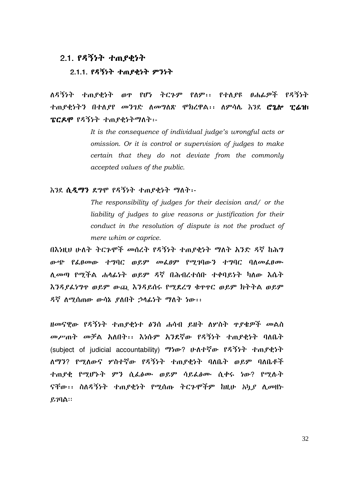#### 2.1. የዳኝነት ተጠያቂነት

#### 2.1.1. የዳኝነት ተጠያቂነት ምንነት

ለዳኝንት ተጠደቂንት ወዋ የሆነ ትርጉም የለም፡፡ የተለደዩ ፀሐፊዎች የዳኝንት ተጠያቂነትን በተለያየ መንገድ ለመግለጽ ሞክረዋል፡፡ ለምሳሌ እንደ ሮ**ኔሎ ፒሬዝ**፣ ፔርዶሞ የዳኝነት ተጠያቂነትማስት፡-

> It is the consequence of individual judge's wrongful acts or omission. Or it is control or supervision of judges to make certain that they do not deviate from the commonly accepted values of the public.

#### እንደ ሲዲማን ደግሞ የዳኝነት ተጠያቂነት ማለት፡-

The responsibility of judges for their decision and/ or the liability of judges to give reasons or justification for their conduct in the resolution of dispute is not the product of mere whim or caprice.

በእነዚህ ሁለት ትርጉሞች መሰረት የዳኝነት ተጠያቂነት ማለት አንድ ዳኛ ከሕግ ውጭ የፌፀመው ተግባር ወይም መፌፀም የሚገባውን ተግባር ባለመፌፀሙ ሊመጣ የሚችል ሐሳፊነት ወይም ዳኛ በሕብረተሰቡ ተቀባይነት ካለው እሴት እንዳያፌነግዋ ወይም ውጪ እንዳይሰሩ የሚደረግ ቁዋዋር ወይም ክትትል ወይም ዳኛ ለሚሰጠው ውሳኔ ያለበት ኃላፊነት ማለት ነው፡፡

ዘመናዊው የዳኝነት ተጠያቂነተ ፅንሰ ሐሳብ ይዘት ስሦስት ዋያቄዎች መልስ መሥጠት መቻል አለበት፡፡ እነሱም አንደኛው የዳኝነት ተጠያቂነት ባለቤት (subject of judicial accountability) ማነው? ሁለተኛው የዳኝነት ተጠያቂነት ለማን? የሚለውና ሦስተኛው የዳኝነት ተጠያቂነት ባለቤት ወይም ባለቤቶች ተጠያቂ የሚሆኑት ምን ሲፌፅሙ ወይም ሳይፌፅሙ ሲቀሩ ነው? የሚሉት ናቸው፡፡ ስለዳኝነት ተጠያቂነት የሚሰጡ ትርጉሞችም ከዚሁ አካያ ሊመዘኑ  $P,70A$ :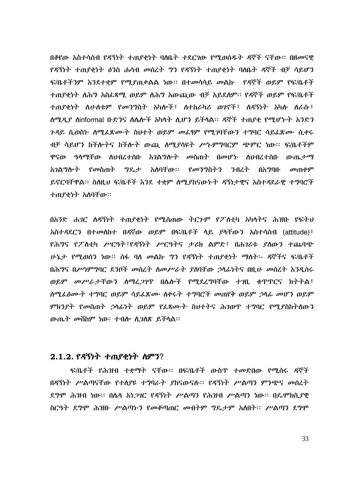በቆየው አስተሳሰብ የዳኝነት ተጠያቂነት ባለቤት ተደርጋው የሚወሰዱት ዳኞች ናቸው። በዘመናዊ የዳኝነት ተጠያቂነት ፅንስ ሐሳብ መስረት ግን የዳኝነት ተጠያቂነት ባለቤት ዳኞች ብቻ ሳይሆን ፍ/ቤቶችንም እንደተቋም የሚያጠቃልል ነው፡፡ በተመሳሳይ መልኩ የዳኞች ወይም የፍ/ቤቶች ተጠያቂነት ስሕግ አስፈጻሚ ወይም ስሕግ አውጪው ብቻ አይደስም። የዳኞች ወይም የፍ/ቤቶች ተጠያቂነት ስሁስቱም የመንግስት አካሎች፣ ስተከራካሪ ወገኖች፣ ስዳኝነት አካሉ ስራሱ፣ ሰሚዲያ ስinformal ቡድንና ስሌሎች አካላት ሲሆን ይችሳል። ዳኞች ተጠያቂ የሚሆኑት አንድን *ጉዳ*ይ ሲወስ፦ ስሚፌጽሙት ስህተት ወይም መፌፃም የሚገባቸውን ተግባር ሳይፌጽሙ ሲቀሩ ብቻ ሳይሆን ከችሎትና ከችሎት ውጪ ሰሚያሳዩት ሥነ-ምግባርም ጭምር ነው፡፡ ፍ/ቤቶችም ዋናው ዓላማቸው ስህብረተሰቡ አ*ገ*ልግሎት መስጠት በመሆኑ ስህብረተሰቡ ውጤታማ *አገ*ል*ግ*ሎት የ*መ*ስጠት *ግ*ዴታ አሰባቸው። የመንግስትን ንብረት በአማባቡ  $\omega$ ጠቀም ይኖርባቸዋል። ስስዚህ ፍ/ቤቶች እንደ ተቋም ሰሚያከናውኑት ዳኝነታዊና አስተዳደራዊ ተግባሮች ተጠያቂነት አስባቸው።

በአንድ ሐንር ስዳኝነት ተጠያቂነት የሚሰጠው ትርጉም የፖስቲካ አካላትና ሕዝቡ የፍትህ አስተዳደርን በተመሰከተ በዳኛው ወይም በፍ/ቤቶች ላይ *ያ*ሳቸውን አስተሳሰብ (attitude)<sup>;</sup> የሕግና የፖለቲካ ሥርዓት፣የዳኝነት ሥርዓትና ታሪክ ልምድ፣ በሐገሪቱ ያለውን ተጨባጭ ሁኔታ የሚወሰን ነው። ሰፋ ባለ መልኩ ግን የዳኝነት ተጠያቂነት ማለት፡- ዳኞችና ፍ/ቤቶች በሕግና በሥነምግባር ደንቦች መስረት ስመሥራት ያስባቸው ኃሳፊነትና በዚሁ መስረት እንዲሰሩ ወይም መሥራታቸውን ስማረ*ጋገ*ዋ በሌሎች የሚደረግባቸው ተገቢ ቁጥጥርና ክትትል፤ ሰሚፌፅሙት ተግባር ወይም ሳይፌጽሙ ስቀሩት ተግባሮች መጠየቅ ወይም ኃሳፊ መሆን ወይም ምክንያት የመስጠት ኃሳፊነት ወይም የፌጻሙት ስህተትና ሕገወዋ ተግባር የሚያስከትለውን ውጤት መሸከም ነው፡ ተብሎ ሲገሰጽ ይችሳል፡፡

# 2.1.2. የዳኝነት ተጠያቂነት ስምን?

ፍ/ቤቶች የሕዝብ ተቋማት ናቸው፡፡ በፍ/ቤቶች ውስጥ ተመድበው የሚሰሩ ዳኞች በዳኝነት ሥልጣናቸው የተለያዩ ተግባራት ያከናውናሉ፡፡ የዳኝነት ሥልጣን ምንጭና መስረት ደግሞ ሕዝብ ነው። በሌላ አነ*ጋገ*ር የዳኝነት ሥልጣን የሕዝብ ሥልጣን ነው። በዴሞክሲደዊ ስርዓት ደግሞ ሕዝቡ ሥልጣኑን የመቆጣጠር መብትም ግዴታም አስበት፡፡ ሥልጣን ደግሞ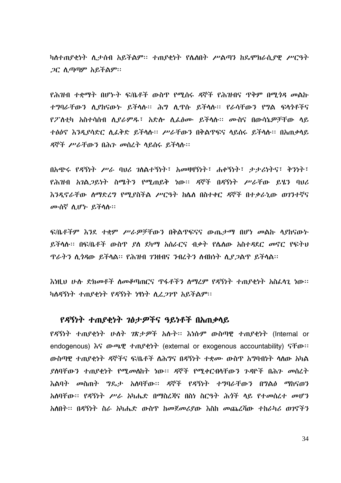ካስተጠያቂነት ሲታሰብ አይችልም፡፡ ተጠያቂነት የሌለበት ሥልጣን ከዴሞክራሲያዊ ሥርዓት *ጋር ሲጣጣም አይችልም*።

<u>የሕዝብ ተቋማት በሆኑት ፍ/ቤቶች ውስጥ የሚሰሩ ዳኞች የሕዝብና ጥቅም በሚ*ጎዳ መ*ልኩ</u> ተማባራቸውን ሊያከናውታ ይችላሉ። ሕግ ሊዋሱ ይችላሉ። የራሳቸውን የግል ፍላንቶችና የፖስቲካ አስተሳሰብ ሲያራምዱ፣ አድሎ ሲፌፅሙ ይችሳሱ። ሙስና በውሳኔዎቻቸው ሳይ ተፅዕኖ እንዲያሳድር ሲፈቅድ ይችሳሉ። ሥራቸውን በቅልጥፍና ሳይሰሩ ይችሳሉ። በአጠቃሳይ ዳኞች ሥራቸውን በሕን መሰረት ሳይሰሩ ይችሳሉ።

በአጭሩ የዳኝነት ሥራ ባህሪ ንለልተኝነት፤ አመዛዛኝነት፤ ሐቀኝነት፤ ታታሪነትና፤ ቅንነት፤ የሕዝብ አገል*ጋ*ይነት ስሜትን የሚጠይቅ ነው፡፡ ዳኞች በዳኝነት ሥራቸው ይሄን ባህሪ እንዳኖራቸው ስማድረግ የሚያስችል ሥርዓት ከሌስ በስተቀር ዳኞች በተቃራኒው ወገንተኛና ሙስኛ ሲሆኑ ይችላሉ።

ፍ/ቤቶችም እንደ ተቋም ሥራዎቻቸውን በቅልጥፍናና ውጤታማ በሆነ መልኩ ሳያከናውኑ ይችሳሉ። በፍ/ቤቶች ውስጥ ያለ ደካማ አሰራርና ብቃት የሴስው አስተዳደር መኖር የፍትህ *ፕራትን ሲጎዳ*ው ይችላል። የሕዝብ *ገን*ዘብና *ን*ብረትን ስብክነት ሲ*ያ ጋ*ልጥ ይችላል።

እነዚህ ሁሉ ድክመቶች ስመቆጣጠርና ጥፋቶችን ስማሪም የዳኝነት ተጠያቂነት አስፈላጊ ነው። ካለዳኝነት ተጠያቂነት የዳኝነት ነፃነት ሲረ*ጋገ*ጥ አይችልም፡፡

#### የዳኝነት ተጠያቂነት ገፅታዎችና ዓይነቶች በአጠቃላይ

የዳኝነት ተጠያቂነት ሁለት ገጽታዎች አሱት፡፡ እነሱም ውስጣዊ ተጠያቂነት (Internal or endogenous)  $\delta G$   $\Phi$   $\Phi$   $\Phi$   $\tau$   $\Phi$   $\gamma$  and  $\gamma$  (external or exogenous accountability)  $\delta$  for  $\mu$ ውስጣዊ ተጠያቂነት ዳኞችና ፍ/ቤቶች ለሕግና በዳኝነት ተቋሙ ውስጥ አግባብነት ሳለው አካል *ያ*ስባቸውን ተጠ*ያ*ቂነት የሚመስከት ነው። ዳኞች የሚቀርብላቸውን ጉዳዮች በሕን መሰረት እልባት መስጠት ግዴታ አለባቸው፡፡ ዳኞች የዳኝነት ተግባራቸውን በግልፅ ማከናወን አለባቸው፡፡ የዳኝነት ሥራ አካሔድ በማስረጃና በስነ ስርዓት ሕጎች ላይ የተመሰረተ መሆን አለበት፡፡ በዳኝነት ስራ አካሔድ ውስጥ ከመጀመሪያው እስከ መጨረሻው ተከራካሪ ወንኖችን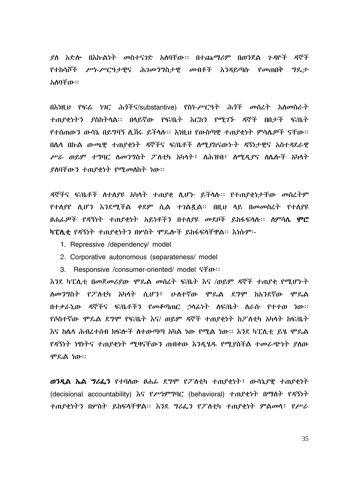ያስ አድሎ በእኩልነት መስተናገድ አሰባቸው፡፡ በተጨማሪም በወንጀል ጉዳዮች ዳኞች የተከሳሾች ሥነ-ሥርዓታዊና ሕገመንግስታዊ መብቶች እንዳይጣሱ የመጠበቅ ግዴታ አለባቸው።

በእነዚህ የፍሬ ነገር ሕጎችና/substantive) የስነ-ሥርዓት ሕጎች መስረት አለመስራት ተጠያቂነትን ያስከትላል፡፡ በላይኛው የፍ/ቤት እርከን የሚገኙ ዳኞች በበታች ፍ/ቤት የተሰጠውን ውሳኔ በይግባኝ ሊሽሩ ይችላሉ። እነዚህ የውስጣዊ ተጠያቂነት ምሳሌዎች ናቸው። በሌሳ በኩል ውጫዊ ተጠያቂነት ዳኞችና ፍ/ቤቶች ስሚያከናውኑት ዳኝነታዊና አስተዳደራዊ ሥራ ወይም ተግባር ሰመንግስት ፖስቲካ አካሳት፣ ስሕዝብ፣ ሰሚዲያና ስሴሎች አካሳት ያስባቸውን ተጠያቂነት የሚመስከት ነው።

ዳኞችና ፍ/ቤቶች ስተለያዩ አካሳት ተጠያቂ ሲሆኑ ይችሳሉ፡፡ የተጠያቂነታቸው መስረትም የተሰያየ ሲሆን እንደሚችል ቀደም ሲል ተገልጿል፡፡ በዚህ ሳይ በመመስረት የተሰያዩ *ፀሐፊዎች የዳኝነት ተጠያቂነት አይነቶችን* በተሰ*ያዩ መ*ደቦች ይከፋፍሳሱ፡፡ ሰምሳሴ **ሞሮ** ካፒሲቲ የዳኝነት ተጠያቂነትን በሦስት ሞጼሎች ይከፋፍላቸዋል፡፡ እነሱም፡-

- 1. Repressive /dependency/ model
- 2. Corporative autonomous (separateness/ model)
- 3. Responsive /consumer-oriented/ model SFo::

እንደ ካፒሲቲ በመጀመሪያው ሞጼል መሰረት ፍ/ቤት እና /ወይም ዳኞች ተጠያቂ የሚሆኑት ለመንግስት የፖለቲካ አካላት ሲሆን፣ ሁለተኛው ሞዴል ደግሞ ከአንደኛው ሞዴል በተቃራኒው ዳኞችና ፍ/ቤቶችን የመቆጣጠር ኃሳፊነት ስፍ/ቤት ስራሱ የተተወ ነው፡፡ የሶስተኛው ሞጴል ደግሞ የፍ/ቤት እና/ ወይም ዳኞች ተጠያቂነት ከፖለቲካ አካላት ከፍ/ቤት እና ክሌላ ሕብረተሰብ ክፍሎች ስተውጣጣ አካል ነው የሚል ነው። እንደ ካፒሲቲ ይሄ ምዴል የዳኝነት ነፃነትና ተጠያቂነት ሚዛናቸውን ጠብቀው እንዲሄዱ የሚያስችል ተመራጭነት ያስው ሞኤል ነው።

ወንዲል ኤል ግሪፌን የተባሰው ዐሐፌ ደግሞ የፖስቲካ ተጠያቂነት፣ ውሳኔያዊ ተጠያቂነት (decisional accountability) እና የሥነምግባር (behavioral) ተጠያቂነት በማስት የዳኝነት ተጠያቂነትን በሦስት ይከፍላቸዋል። እንደ ግሪፌን የፖስቲካ ተጠያቂነት ምልመላ፣ የሥራ

35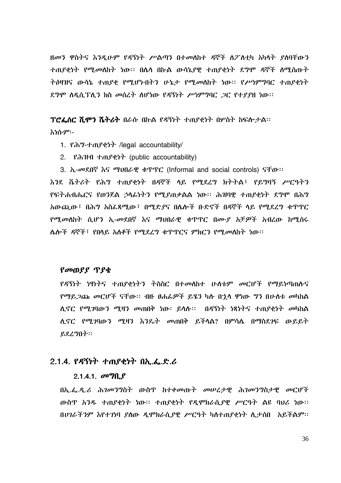ዘመን ዋስትና እንዲሁም የዳኝነት ሥልጣን በተመሰከተ ዳኞች ስፖስቲካ አካላት ያሰባቸውን ተጠያቂነት የሚመለከት ነው። በሌላ በኩል ውሳኔያዊ ተጠያቂነት ደግሞ ዳኞች ስሚሰጡት ትዕዛዝና ውሳኔ ተጠያቂ የሚሆኑበትን ሁኔታ የሚመስከት ነው። የሥነምግባር ተጠያቂነት ደግሞ ስዳስ.ፕሊን ክስ መስረት ስሆነው የዳኝነት ሥነምግባር *ጋ*ር የተደደዘ ነው።

ፕሮፌሰር ሺሞን ሼትሪት በራሱ በኩል የዳኝነት ተጠያቂነት በሦስት ከፍሎታል፡፡

**እነሱም፡-**

- 1. Ph?hn Peth legal accountability
- 2. Partel tangerly (public accountability)
- 3. h-መደበኛ እና ማህበራዊ ቁጥጥር (Informal and social controls) ናቸው።

እንደ ሼትሪት የሕግ ተጠያቂነት በዳኞች ሳይ የሚደረግ ክትትል፣ የይግባኝ ሥርዓትን <u>የፍትሐብሔርና የወንጀል ኃላፊነትን የሚደጠቃልል ነው። ሕዝባዊ ተጠያቂነት ደግሞ በሕግ</u> አውጪው፣ በሕግ አስፌጻሚው፣ በሚድያና በሌሎች ቡድኖች በዳኞች ላይ የሚደረግ ቁጥጥር *የሚመ*ለከት ሲሆን ኢ-መደበኛ እና ማህበራዊ ቁጥጥር በሙ*ያ* አቻ*ዎ*ች አብረው ከሚሰሩ ሌሎች ዳኞች፣ የበላይ አለቆች የሚደረግ ቁጥጥርና ምክርን የሚመለከት ነው፡፡

#### የመወያያ ጥያቂ

የዳኝነት ነፃነትና ተጠያቂነትን ትስስር በተመሰከተ ሁስቱም መርሆች የማይነጣጠሱና የማይጋጩ መርሆች ናቸው። ብዙ ፀሐፊዎች ይሄን ካሱ በኋላ ዋነው ግን በሁስቱ መካከል ሊኖር የሚገባውን ሚዛን መጠበቅ ነው፡ ይላሉ፡፡ በዳኝነት ነጻነትና ተጠያቂነት መካከል ሲኖር የሚገባውን ሚዛን እንዴት መጠበቅ ይችሳል? በምሳሌ በማስደገፍ ውይይት ይደረግበት፡፡

# 2.1.4. የዳኝነት ተጠያቂነት በኢፌዲሪ

#### 2.1.4.1.  $\omega$   $90.9$

በኢ.ፌ.ዲ.ሪ ሕ*ገመንግ*ስት ውስጥ ከተቀመጡት መሠረታዊ ሕ*ገመንግ*ስታዊ መርሆች ውስዋ አንዱ ተጠያቂነት ነው። ተጠያቂነት የዲሞክራሲያዊ ሥርዓት ልዩ ባህሪ ነው። በሀገራችንም እየተገነባ ያሰው ዲሞክራሲያዊ ሥርዓት ካስተጠያቂነት ሲታሰበ አይችልም፡፡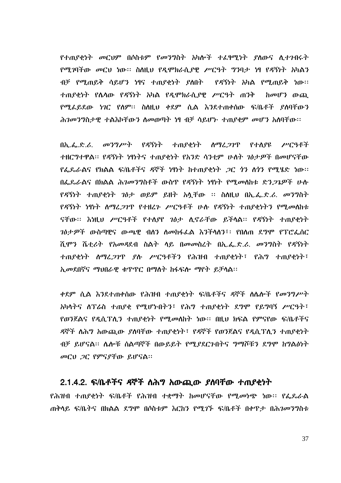የተጠያቂነት መርህም በሶስቱም የመንግስት አካሎች ተፈፃሚነት ያስውና ሲተንበሩት የሚገባችው መርህ ነው። ስስዚህ የዲሞክራሲያዊ ሥርዓት ግንባታ ነፃ የዳኝነት አካልን ብቻ የሚጠይቅ ሳይሆን ነፃና ተጠያቂነት ያስበት የዳኝነት አካል የሚጠይቅ ነው፡፡ ተጠያቂነት የሌላው የዳኝነት አካል የዲሞክራሲያዊ ሥርዓት ጠንቅ ከመሆን ውጪ የሚፌይደው ነገር የሰም፡፡ ስስዚህ ቀደም ሲል እንደተጠቀሰው ፍ/ቤቶች ያሰባቸውን ሕገመንግስታዊ ተልእኮቸውን ስመወጣት ነፃ ብቻ ሳይሆኑ ተጠያቂም መሆን አሰባቸው።

የዳኝነት  $0\hbar$ ,  $\hbar$ ,  $\mathcal{L}$ ,  $\sigma$ <sup>0</sup>*2<sup>9</sup>/<sup>p/</sup>r*<sup>+</sup> ተጠያቂነት ስማሪ*ጋገ*ጥ የተሰያዩ アパットネ ተዘርግተዋል። የዳኝነት ነፃነትና ተጠያቂነት የአንድ ሳንቲም ሁለት ገፅታዎች በመሆናቸው *የፌ*ጼራልና የክልል ፍ/ቤቶችና ዳኞች ነፃነት ከተጠያቂነት *ጋ*ር *ጎ*ን ለጎን የሚሄድ ነው፡፡ በፌዴራልና በክልል ሕገመንግስቶች ውስዋ የዳኝነት ነፃነት የሚመለከቱ ድን*ጋጌዎች* ሁሉ *የዳ*ኝነት ተጠ*ያቂነት ገፅታ ወይም ይ*ዘት አሳቸው ፡፡ ስለዚህ በኢ.ፌ.ድ.ሪ. መንግስት *የዳኝነት ነፃነት ለማረጋገ*ዋ የተዘረን ሥርዓቶች ሁሉ የዳኝነት ተጠያቂነትን የሚ*መ*ስከቱ ናቸው፡፡ እነዚህ ሥርዓቶች የተለያየ ገፅታ ሲኖራቸው ይችላል፡፡ የዳኝነት ተጠያቂነት *ገፅታዎች* ውስጣዊና ውጫዊ ብለን ለመከፋፌል እንችላለን፣፡ የበለጠ ደግሞ የፕሮፌሰር ሺሞን ሼቲሪት የአመዳደብ ስልት ላይ በመመስረት በኢ.ፌ.ድ.ሪ. መንግስት የዳኝነት ተጠያቂነት ስማሬ*ጋገ*ዋ ያሉ ሥርዓቶችን የሕዝብ ተጠያቂነት፣ የሕግ ተጠያቂነት፣ ኢመደበኛና ማህበራዊ ቁጥጥር በማስት ከፋፍሎ ማየት ይቻሳል፡፡

*ቀ*ደም ሲል እንደተጠቀሰው የሕዝብ ተጠያቂነት ፍ/ቤቶችና ዳኞች ስሌሎች የመንግሥት አካላትና ለፕሬስ ተጠያቂ የሚሆኑበትን፣ የሕግ ተጠያቂነት ደግሞ የይግባኝ ሥርዓት፣ <u>የወንጀልና የዲሲፕሊን ተጠያቂነት የሚመስከት ነው። በዚህ ክፍል የምናየው ፍ/ቤቶችና</u> ዳኞች ስሕግ አውጪው ያሰባቸው ተጠያቂነት፣ የዳኞች የወንጀልና የዲሲፕሊን ተጠያቂነት ብቻ ይሆናል፡፡ ሌሎቹ ስልጣኞች በውይይት የሚደደርጉበትና ግማሾቹን ደግሞ ከግልፅነት መርህ *ጋ*ር የምናያቸው ይሆናል።

## 2.1.4.2. ፍ/ቤቶችና ዳኞች ስሕግ አውጪው ያስባቸው ተጠያቂነት

የሕዝብ ተጠያቂነት ፍ/ቤቶች የሕዝብ ተቋማት ከመሆናቸው የሚመነጭ ነው። የፌዴራል ጠቅሳይ ፍ/ቤትና በክልል ደ*ግ*ሞ በሶስቱም እርከን የሚ*ገኙ ፍ/*ቤቶች በቀጥታ በሕ*ገመንግ*ስቱ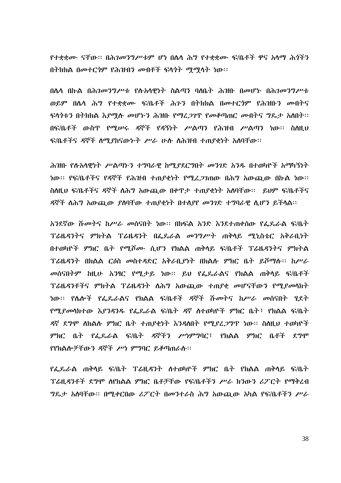የተቋቋሙ ናቸው። በሕገመንግሥቱም ሆነ በሴሳ ሕግ የተቋቋሙ ፍ/ቤቶች ዋና አሳማ ሕጎችን በትክክል በመተርጎም የሕዝብን መብቶች ፍላጎት ማማላት ነው።

በሴሳ በኩል በሕ*ገመንግሥቱ የ*ሱአሳዊነት ስልጣን ባለቤት ሕዝቡ በመሆኑ በሕ*ገመንግሥቱ* ወይም በሴሳ ሕግ የተቋቋሙ ፍ/ቤቶች ሕንን በትክክል በመተርጎም የሕዝቡን መብትና ፍላጎቱን በትክክል እ*ያሚ*ሉ መሆኑን ሕዝቡ የማፈ*ጋገ*ዋ የመቆጣጠር መብትና ግጼታ አስበት። በፍ/ቤቶች ውስጥ የሚሠሩ ዳኞች የዳኝነት ሥልጣን የሕዝብ ሥልጣን ነው፡፡ ስስዚህ ፍ/ቤቶችና ዳኞች ስሚያከናውኑት ሥራ ሁሱ ስሕዝብ ተጠያቂነት አስባቸው።

ሕዝቡ የሱአሳዊነት ሥልጣኑን ተግባራዊ ከሚያደርግበት መንገድ አንዱ በተወካዮች አማካኝነት ነው፡፡ የፍ/ቤቶችና የዳኞች የሕዝብ ተጠያቂነት የሚረ*ጋገ*ጠው በሕግ አውጪው በኩል ነው፡፡ ስለዚህ ፍ/ቤቶችና ዳኞች ለሕግ አውጪው በቀዋታ ተጠያቂነት አለባቸው። ይህም ፍ/ቤቶችና ዳኞች ስሕግ አውጪው ያሰባቸው ተጠያቂነት በተሰያየ መንገድ ተግባራዊ ሲሆን ይችሳል፡፡

አንደኛው ሹመትና ከሥራ መሰናበት ነው። በክፍል አንድ እንደተጠቀሰው የፌጼራል ፍ/ቤት ፕሬዜዳንትና ምክትል ፕሬዜዳንት በፌጼራል መንግሥት ጠቅላይ ሚኒስቴር አቅራቢነት በተወካዮች ምክር ቤት የሚሾሙ ሲሆን የክልል ጠቅላይ ፍ/ቤቶች ፕሬዜዳንትና ምክትል ፕሬዜዳንት በክልል ርዕስ መስተዳድር አቅራቢያነት በክልሱ ምክር ቤት ይሾማሱ፡፡ ከሥራ መሰናበትም ከዚሁ አንፃር የሚታይ ነው። ይህ የፌዶራልና የክልል ጠቅሳይ ፍ/ቤቶች ፕሬዜዳንቶችና ምክትል ፕሬዜዳንት ስሕግ አውጪው ተጠያቂ መሆናቸውን የሚያመሳክት ነው፡፡ የሴሎች የፌጼራልና የክልል ፍ/ቤቶች ዳኞች ሹመትና ከሥራ መሰናበት ሂደት የሚያመሳክተው እያንዳንዱ የፌጼራል ፍ/ቤት ዳኛ ስተወካዮች ምክር ቤት፣ የክልል ፍ/ቤት ዳኛ ደግሞ ስክልሱ ምክር ቤት ተጠያቂነት እንዳለበት የሚያረ*ጋግ*ጥ ነው። ስስዚህ ተወካዮች *ምክ*ር ቤ*ት የፌ*ዴራል ፍ/ቤ*ት ዳ*ኞችን ሥነምግባር፣ የክልል ምክር ቤቶች ደግሞ የየክልሎቻቸውን ዳኞች ሥነ ምግባር ይቆጣጠራሱ፡፡

የፌጼራል ጠቅሳይ ፍ/ቤት ፕሬዚዳንት ስተወካዮች ምክር ቤት የክልል ጠቅሳይ ፍ/ቤት *ፕሬ*ዚዳንቶች ደ*ግ*ሞ ለየክልል ምክር ቤቶቻቸው የፍ/ቤቶችን ሥራ ክንውን ሪፖርት የማቅረብ *ግ*ጼታ አለባቸው። በሚቀርበው ሪፖርት በመንተራስ ሕግ አውጪው አካል የፍ/ቤቶችን ሥራ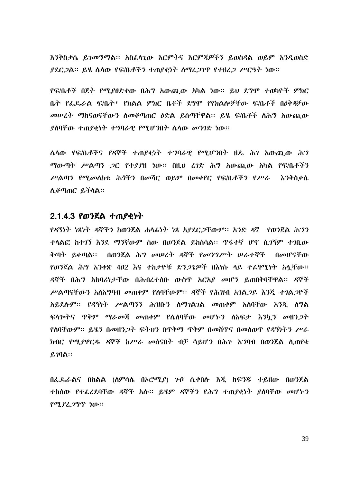እንቅስቃሴ ይገመግማል፡፡ አስፌሳጊው እርምትና እርምጃዎችን ይወስዳል ወይም እንዲወስድ ያደር 2ል። ይሄ ሴሳው የፍ/ቤቶችን ተጠያቂነት ስማረ 21ዋ የተዘረጋ ሥርዓት ነው።

የፍ/ቤቶች በጀት የሚያፀድቀው በሕግ አውጪው አካል ነው፡፡ ይህ ደግሞ ተወካዮች ምክር ቤት የፌዴራል ፍ/ቤት፣ የክልል ምክር ቤቶች ደግሞ የየክልሎቻቸው ፍ/ቤቶች በዕቅዳቻው መሠረት ማከናወናቸውን ስመቆጣጠር ዕድል ይሰጣቸዋል። ይሄ ፍ/ቤቶች ስሕግ አውጪው ያስባቸው ተጠያቂነት ተግባራዊ የሚሆንበት ሴሳው መንገድ ነው።

**ሌሳው የፍ/ቤቶችና የዳኞች ተጠያቂነት ተ**ግባራዊ የሚሆንበት ዘዴ ሕገ አውጪው ሕግ *ማ*ውጣት ሥልጣን *ጋ*ር የተ*ያያ*ዘ ነው። በዚህ ረገድ ሕግ አውጪው አካል የፍ/ቤቶችን ሥልጣን የሚመለከቱ ሕጎችን በመሻር ወይም በመቀየር የፍ/ቤቶችን የሥራ እንቅስቃሴ ሊቆጣጠር ይችላል።

# 2.1.4.3 የወንጀል ተጠያቂነት

የዳኝነት ነጻነት ዳኞችን ከወንጀል ሐሳፊነት ነጻ አያደር ጋቸውም፡፡ አንድ ዳኛ የወንጀል ሕግን ተሳልፎ ከተገኘ እንደ ማንኛውም ሰው በወንጀል ይክስሳል፡፡ ጥፋተኛ ሆኖ ሲ*ገኝ*ም ተገቢው ቅጣት ይቀጣል፡፡ በወንጀል ሕግ መሠረት ዳኞች የመንግሥት ሠራተኞች በመሆናቸው የወንጀል ሕግ አንቀጽ 402 እና ተከታዮቹ ድን*ጋጌዎች* በእነሱ ላይ ተፈፃሚነት አሏቸው። ዳኞች በሕግ አክባሪነታቸው በሕብረተሰቡ ውስጥ አርአያ መሆን ይጠበቅባቸዋል፡፡ ዳኞች ሥልጣናቸውን አለአግባብ መጠቀም የለባቸውም፡፡ ዳኞች የሕዝብ አገልጋይ እንጂ ተገልጋዮች አይደሉም፡፡ የዳኝነት ሥልጣንን ሕዝቡን ስማገልገል መጠቀም አሰባቸው እንጂ ስግል ፍላሎትና ዋቅም ማራመጃ መጠቀም የሴስባቸው መሆኑን ስአፍታ እንኳን መዘንጋት የሰባቸውም፡፡ ይሄን በመዘን*ጋ*ት ፍትህን በዋቅማ ዋቅም በመሸዋና በመስወዋ የዳኝነትን ሥራ ክብር የሚያዋርዱ ዳኞች ከሥራ መሰናበት ብቻ ሳይሆን በሕን አግባብ በወንጀል ሲጠየቁ ይ $\eta$ በል።

በፌዶራልና በክልል (ስምሳሴ በኦሮሚያ) ጉቦ ሲቀበሱ እጂ ከፍንጁ ተይዘው በወንጀል ተከሰው የተፈረደባቸው ዳኞች አሉ፡፡ ይሄም ዳኞችን የሕግ ተጠያቂነት ያሰባቸው መሆኑን የሚያረጋግጥ ነው።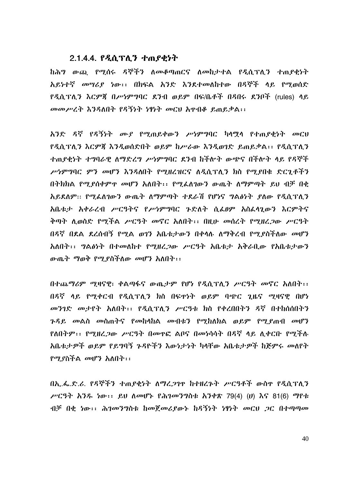#### 2.1.4.4. የዲሲፕሊን ተጠያቂነት

ከሕግ ውጪ የሚሰሩ ዳኞችን ለመቆጣጠርና ለመከታተል የዲሲፕሊን ተጠያቂነት አይነተኛ መሣሪያ ነው፡፡ በክፍል አንድ እንደተመለከተው በዳኞች ላይ የሚወሰድ የዲሲፕሊን እርምጀ በሥነምግባር ደንብ ወይም በፍ/ቤቶች በዳበሩ ደንቦች (rules) ላይ መመሥረት እንዳለበት የዳኝነት ነፃነት መርህ እዋብቆ ይጠይቃል፡፡

አንድ ዳኛ የዳኝነት ሙያ የሚጠይቀውን ሥነምግባር ካላሟላ የተጠያቂነት መርህ የዲሲፕሊን እርምጀ እንዲወሰድበት ወይም ከሥራው እንዲወገድ ይጠይቃል፡፡ የዲሲፕሊን ተጠያቂነት ተግባራዊ ለማድረግ ሥነምግባር ደንብ ከችሎት ውጭና በችሎት ላይ የዳኞች ሥነምግባር ምን መሆን እንዳለበት የሚዘረዝርና ለዲሲፕሲን ክስ የሚያበቁ ድርጊቶችን በትክክል የሚደሰቀምዋ መሆን አለበት፡፡ የሚፌለገውን ውጤት ለማምጣት ይህ ብቻ በቂ አይደለም፡፡ የሚፌስገውን ውጤት ለማምጣት ተደራሽ የሆነና ግልፅነት ያስው የዲሲፕሲን አቤቱታ አቀራረብ ሥርዓትና የሥነምግባር ጉድለት ሲፌፀም አስፌሳጊውን እርምትና ቅጣት ሲወስድ የሚችል ሥርዓት መኖር አለበት፡፡ በዚሁ መሰረት የሚዘረጋው ሥርዓት በዳኛ በደል ደረሰብኝ የሚል ወገን አቤቱታውን በቀላሉ ለማቅረብ የሚደስችለው መሆን አለበት፡፡ ግልፅነት በተመለከተ የሚዘረጋው ሥርዓት አቤቱታ አቅራቢው የአቤቱታውን ውጤት ማወቅ የሚደስችለው መሆን አለበት፡፡

በተጨማሪም ሚዛናዊ፣ ቀልጣፋና ውጤታም የሆነ የዲሲፕሊን ሥርዓት መኖር አለበት፡፡ በዳኛ ላይ የሚቀርብ የዲሲፕሊን ክስ በፍዋነት ወይም ባጭር ጊዜና ሚዛናዊ በሆነ መንገድ መታየት አለበት፡፡ የዲሲፕሊን ሥርዓቱ ክስ የቀረበበትን ዳኛ በተከሰሰበትን *ጉዳይ መ*ልስ *መ*ስጠትና የመከሳከል መብቱን የሚከለክል ወይም የሚደጠብ መሆን የለበተም፡፡ የሚዘረጋው ሥርዓት በመዋፎ ልቦና በመነሳሳት በዳኛ ላይ ሊቀርቡ የሚችሉ አቤቱታዎች ወይም የይግባኝ ጉዳዮችን እውነታነት ካላቸው አቤቱታዎች ከጅምሩ መለየት *የሚያስችል መሆን አ*ለበት፡፡

በኢ.ፌ.ድ.ሪ. የዳኞችን ተጠያቂነት ለማረጋገዋ ከተዘረጉት ሥርዓቶች ውስዋ የዲሲፕሊን  $\mu$ ርዓት አንዱ ነው፡፡ ይህ ለመሆኑ የሕገመንግስቱ አንቀጽ 79(4) (ሀ) እና 81(6) ማየቱ  $\mathcal{A}$ ቻ በቂ ነው፡፡ ሕገመንግስቱ ከመጀመሪያውኑ ከዳኝነት ነፃነት መርህ ጋር በተጣጣመ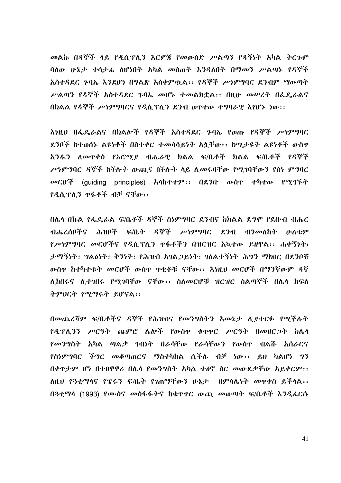መልኩ በዳኞች ላይ የዲሲፕሊን እርምጀ የመውሰድ ሥልጣን የዳኝነት አካል ትርጉም ባለው ሁኔታ ተሳታፊ ለሆነበት አካል መስጠት እንዳለበት በማመን ሥልጣኑ የዳኞች አስተዳደር ጉባኤ እንደሆነ በግልጽ አስቀምዉል፡፡ የዳኞች ሥነምግባር ደንብም ማውጣት ሥልጣን የዳኞች አስተዳደር ጉባኤ መሆኑ ተመልክቷል፡፡ በዚሁ መሠረት በፌዴራልና በክልል የዳኞች ሥነምግባርና የዲሲፕሊን ደንብ ወዋተው ተግባራዊ እየሆኑ ነው፡፡

እነዚህ በፌዴራልና በክልሎች የዳኞች አስተዳደር ጉባኤ የወጡ የዳኞች ሥነምግባር ደንቦች ከተወሰኑ ልዩነቶች በስተቀር ተመሳሳይነት አሏቸው፡፡ ከሚታዩት ልዩነቶች ውስዋ አንዱን ለመዋቀስ የኦሮሚያ ብሔራዊ ክልል ፍ/ቤቶች ክልል ፍ/ቤቶች የዳኞች ሥነምግባር ዳኞች ከችሎት ውጪና በችሎት ላይ ሊመሩባቸው የሚገባቸውን የስነ ምግባር መርሆች (quiding principles) አላከተተም፡፡ በደንቡ ውስዋ ተካተው የሚገኙት የዲሲፕሊን ዋፋቶች ብቻ ናቸው፡፡

በሌላ በኩል የፌዴራል ፍ/ቤቶች ዳኞች ስነምግባር ደንብና ከክልል ደግሞ የደቡብ ብሔር ብሔረሰቦችና ሕዝቦች ፍ/ቤት ዳኞች ሥነምግባር ደንብ ብንመለከት ሁለቱም የሥነምግባር መርሆችና የዲሲፕሊን ዋፋቶችን በዝርዝር አኳተው ይዘዋል፡፡ ሐቀኝነት፣ ታማኝነት፣ ግልፅነት፣ ቅንነት፣ የሕዝብ አገልጋይነት፣ ገለልተኝነት ሕግን ማክበር በደንቦቹ ውስዋ ከተካተቱት መርሆች ውስዋ ዋቂቶቹ ናቸው፡፡ እነዚህ መርሆች በማንኛውም ዳኛ ሊከበሩና ሊተግበሩ የሚገባቸው ናቸው፡፡ ስለመርሆቹ ዝርዝር ስልጣኞች በሌላ ክፍለ ትምህርት የሚማሩት ይሆናል፡፡

በመጨረሻም ፍ/ቤቶችና ዳኞች የሕዝብና የመንግስትን አመኔታ ሲያተርፉ የሚችሉት *የዲፕሊንን ሥርዓት ጨምሮ ሌ*ሎች የውስዋ ቁዋዋር *ሥርዓት በመዘርጋት* ከሌላ *የመንግ*ስት አካል ጣል*ቃ* ንብነት በራሳቸው የራሳቸውን የውስዋ ብልሹ አሰራርና የስነምግባር ችግር መቆጣጠርና ማስተካከል ሲችሉ ብቻ ነው፡፡ ይህ ካልሆነ ግን በቀዋታም ሆነ በተዘዋዋሪ በሌላ የመንግስት አካል ተፅኖ ስር መውደቃቸው አይቀርም፡፡ ለዚህ የ3ቲማሳና የፔሩን ፍ/ቤት የንጠማቸውን ሁኔታ በምሳሌነት መዋቀስ ይችላል፡፡ በ3ቲማሳ (1993) የሙስና መስፋፋትና ከቁዋዋር ውጪ መውጣት ፍ/ቤቶች እንዲፌርሱ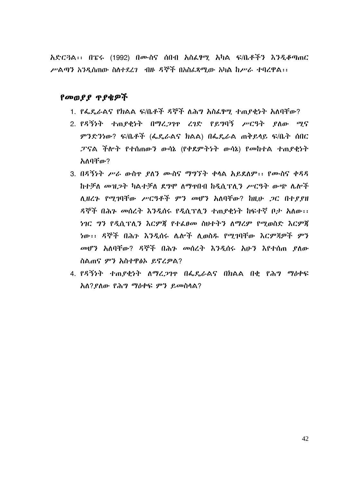አድርጓል፡፡ በፔሩ (1992) በሙስና ሰበብ አስፌፃሚ አካል ፍ/ቤቶችን እንዲቆጣጠር ሥልጣን አንዲስጠው ስለተደረገ - ብዙ ዳኞች በአስፌጻሚው አካል ከሥራ ተባረዋል፡፡

# የመወያያ ጥያቄዎች

- 1. የፌዴራልና የክልል ፍ/ቤቶች ዳኞች ለሕግ አስፌፃሚ ተጠያቂነት አለባቸው?
- 2 የዳኝንት ተጠየቀንት በማረጋገዋ ረገድ የይግባኝ ሥርዓት የለው ማና ምንድንነው? ፍ/ቤቶች (ፌዴራልና ክልል) በፌዴራል ጠቅይላይ ፍ/ቤት ሰበር ፓናል ችሎት የተሰጠውን ውሳኔ (የቀደምትነት ውሳኔ) የመከተል ተጠያቂነት አለበቸው?
- 3. በዳኝነት ሥራ ውስዋ ያለን ሙስና ማግኘት ቀላል አይደለም፡፡ የሙስና ቀዳዳ ከተቻለ መዝጋት ካልተቻለ ደግሞ ለማዋበብ ከዲሲፕሊን ሥርዓት ውጭ ሌሎች ሊዘረጉ የሚገባቸው ሥርዓቶች ምን መሆን አለባቸው? ከዚሁ ጋር በተያያዘ ዳኞች በሕን መሰረት እንዲሰሩ የዲሲፕሊን ተጠያቂነት ከፍተኛ ቦታ አለው፡፡ ነገር ግን የዲሲፕለን እርምጀ የተፈፀመ ስሁተትን ለማረም የማመስድ እርምጀ ነው፡፡ ዳኞች በሕጉ እንዲሰሩ ሌሎች ሊወስዱ የሚገባቸው እርምጃዎች ምን መሆን አለባቸው? ዳኞች በሕጉ መሰረት እንዲሰሩ አሁን እየተሰጠ ያለው ስልጠና ምን አስተዋልኦ ይኖረዎል?
- 4. የዳኝነት ተጠያቂነት ለማረጋገዋ በፌዴራልና በክልል በቂ የሕግ ማዕቀፍ አለ?ደለው የሕግ ማዕቀፍ ምን ይመስላል?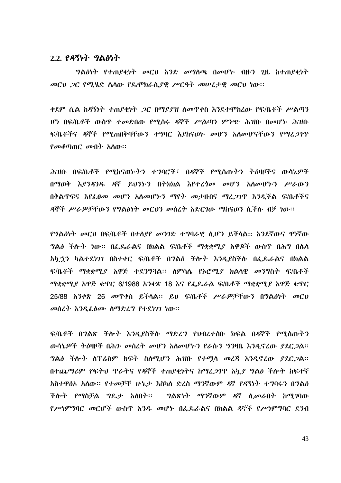#### $2.2.$  የዳኝነት ግልፅነት

ግልፅነት የተጠያቂነት መርህ አንድ መግለጫ በመሆኑ ብዙን ጊዜ ከተጠያቂነት መርህ ጋር የሚሄድ ሴሳው የጼሞክራሲያዊ ሥርዓት መሠረታዊ መርህ ነው።

ቀደም ሲል ከዳኝነት ተጠያቂነት ጋር በማያያዝ ስመዋቀስ እንደተሞከረው የፍ/ቤቶች ሥልጣን ሆነ በፍ/ቤቶች ውስጥ ተመድበው የሚሰሩ ዳኞች ሥልጣን ምንጭ ሕዝቡ በመሆኑ ሕዝቡ ፍ/ቤቶችና ዳኞች የሚጠበቅባቸውን ተግባር እያከናወኑ መሆን አለመሆናቸውን የማፈጋገጥ  $\ell$ መቆጣጠ $\ell$  መብት አስው።

ሕዝቡ በፍ/ቤቶች የሚከናወኮትን ተግባሮች፣ በዳኞች የሚሰጡትን ትዕዛዞችና ውሳኔዎች በማወቅ እያንዳንዱ ዳኛ ይህንኮን በትክክል እየተረ*ጎሙ መ*ሆን አለመሆኑን ሥራውን በቅልጥፍና እየፌፀመ መሆን አለመሆኑን ማየት መታዘብና ማፈ*ጋገ*ጥ እንዲችል ፍ/ቤቶችና ዳኞች ሥራዎቻቸውን የግልፅነት መርህን መስረት አድርገው ማከናወን ሲችሉ ብቻ ነው፡፡

የግልፅነት መርህ በፍ/ቤቶች በተሰያየ መንገድ ተግባራዊ ሲሆን ይችሳል። አንደኛውና ዋነኛው *ግ*ልፅ ችሎት ነው። በፌጼራልና በክልል ፍ/ቤቶች ማቋቋሚ*ያ* አዋጆች ውስዋ በሕግ በሌላ አካ ኃን ካልተደነንን በስተቀር ፍ/ቤቶች በግልፅ ችሎት እንዲያስችሉ በፌዴራልና በክልል ፍ/ቤቶች ማቋቋሚያ አዋጅ ተደንግ3ል። ስምሳሴ የኦሮሚያ ክልሳዊ መንግስት ፍ/ቤቶች ማቋቋሚያ አዋጅ ቁጥር 6/1988 አንቀጽ 18 እና የፌጼራል ፍ/ቤቶች ማቋቋሚያ አዋጅ ቁጥር 25/88 አንቀጽ 26 መጥቀስ ይችሳል። ይህ ፍ/ቤቶች ሥራዎቻቸውን በግልፅነት መርህ መሰረት እንዲፌፅሙ ስማድረግ የተደነገገ ነው።

ፍ/ቤቶች በግልጽ ችሎት እንዲያስችሉ ማድረግ የህብረተሰቡ ክፍል በዳኞች የሚሰጡትን ውሳኔዎች ትዕዛዞች በሕጉ መሰረት መሆን አሰመሆኑን የራሱን ግንዛቤ እንዲኖረው ያደር*ጋ*ል። ግልፅ ችሎት ለፐሬስም ክፍት ስለሚሆን ሕዝቡ የተሟላ መረጃ እንዲኖረው ያደርጋል፡፡ በተጨ*ማሪም የፍትህ ጥራትና የዳ*ኞች ተጠያቂነትና ከማፈ*ጋገ*ጥ አካ*ያ ግ*ልፅ ችሎት ከፍተኛ አስተዋፅኦ አሰው። የተመቻቸ ሁኔታ እስካለ ድረስ ማንኛውም ዳኛ የዳኝነት ተግባሩን በግልፅ ችሎት የማስቻል ግዴታ አለበት፡፡ ግልጽነት ማንኛውም ዳኛ ሊመራበት ከሚገባው የሥነምግባር መርሆች ውስዋ አንዱ መሆኑ በፌዴራልና በክልል ዳኞች የሥነምግባር ደንብ

43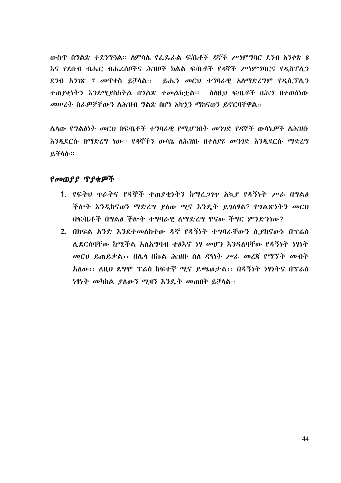ውስጥ በግልጽ ተደንግጓል፡፡ ስምሳሌ የፌዴራል ፍ/ቤቶች ዳኞች ሥነምግባር ደንብ አንቀጽ 8 እና የደቡብ ብሔር ብሔረሰቦችና ሕዝቦች ክልል ፍ/ቤቶች የዳኞች ሥነምግባርና የዲስፐሊን ደንብ አንገጽ 7 መዋቀስ ይቻሳል። ይሔን መርህ ተግባራዊ አሰማድረግም የዲሲፕሲን ተጠያቂነትን እንደሚያስከትል በግልጽ ተመልክተል። ስለዚህ ፍ/ቤቶች በሕግ በተወሰነው መሠረት ስራዎቻቸውን ስሕዝብ ግልጽ በሆነ አካኃን ማከናወን ይኖርባቸዋል።

ሌሳው የግልፅነት መርህ በፍ/ቤቶች ተግባራዊ የሚሆንበት መንገድ የዳኞች ውሳኔዎች ለሕዝቡ እንዲደርሱ በማድረግ ነው። የዳኞችን ውሳኔ ለሕዝቡ በተለያዩ መንገድ እንዲደርሱ ማድረግ ይችሳሱ።

# የመወያያ ጥያቂዎች

- 1. የፍትህ ዋራትና የዳኞች ተጠያቂነትን ከማረጋገዋ አኳያ የዳኝነት ሥራ በግልፅ ችሎት እንዲከናወን ማድረግ ያለው ሚና እንዴት ይገለፃል? የግልጽነትን መርህ በፍ/ቤቶች በግልፅ ችሎት ተግባራዊ ለማድረግ ዋናው ችግር ምንድንነው?
- 2. በክፍል አንድ እንደተመለከተው ዳኞ የዳኝነት ተግባራቸውን ሲያከናውኑ በፕሬስ ሲደርስባቸው ከሚችል አለአግባብ ተፅእኖ ነፃ መሆን እንዳለባቸው የዳኝነት ነፃነት መርህ ይጠይቃል፡፡ በሌላ በኩል ሕዝቡ ስለ ዳኝነት ሥራ መረጃ የማኘት መብት አለው፡፡ ለዚህ ደግሞ ፕሬስ ከፍተኛ ሚና ይጫወታል፡፡ በዳኝነት ነፃነትና በፕሬስ *ነፃነት መካከል ያለውን ሚዛን እንዴት መ*ጠበቅ ይቻላል፡፡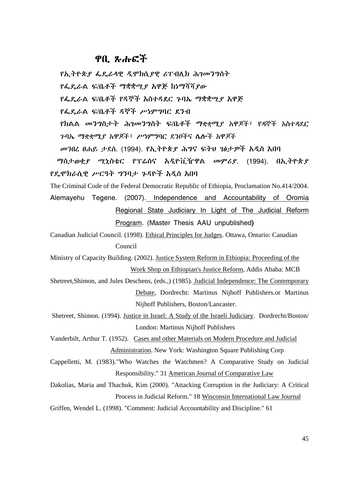# ዋቢ ጸሐፍች

የኢትዮጵያ ፌዴራላዊ ዲሞክሲያዊ ሪፐብሊክ ሕገመንግስት

የፌዴራል ፍ/ቤቶች ማቋቋሚያ አዋጅ ከነማሻሻያው

የፌዴራል ፍ/ቤቶች የዳኞች አስተዳደር ጉባኤ ማቋቋሚያ አዋጅ

የፌዴራል ፍ/ቤቶች ዳኞች ሥነምግባር ደንብ

የክልል መንግስታት ሕገመንግስት ፍ/ቤቶች ማቋቋሚያ አዋጆች፣ የዳኞች አስተዳደር ንባኤ ማቋቋሚያ አዋጆች፣ ሥነምግባር ደንቦችና ሌሎች አዋጆች

መንበረ ፀሐይ ታደሰ. (1994). የኢትዮጵያ ሕግና ፍትህ ገፅታዎች አዲስ አበባ

ማስታወቂያ ሚኒስቴር የፕሬስና አዲዮቪዥዋል መምሪያ. (1994). በኢትዮጵያ የዴሞክራሲዊ ሥርዓት ግንባታ ጉዳዮች አዲስ አበባ

The Criminal Code of the Federal Democratic Republic of Ethiopia, Proclamation No.414/2004.

Alemayehu Tegene. (2007). Independence and Accountability of Oromia Regional State Judiciary In Light of The Judicial Reform Program. (Master Thesis AAU unpublished)

Canadian Judicial Council. (1998). Ethical Principles for Judges. Ottawa, Ontario: Canadian Council

Ministry of Capacity Building. (2002). Justice System Reform in Ethiopia: Proceeding of the Work Shop on Ethiopian's Justice Reform, Addis Ababa: MCB

Shetreet, Shimon, and Jules Deschens, (eds.,) (1985). Judicial Independence: The Contemporary Debate, Dordrecht: Martinus Nijhoff Publishers.or Martinus Nijhoff Publishers, Boston/Lancaster.

Shetreet, Shimon. (1994). Justice in Israel: A Study of the Israeli Judiciary. Dordrecht/Boston/ London: Martinus Nijhoff Publishers

Vanderbilt, Arthur T. (1952). Cases and other Materials on Modern Procedure and Judicial Administration. New York: Washington Square Publishing Corp

Cappelletti, M. (1983). "Who Watches the Watchmen? A Comparative Study on Judicial Responsibility." 31 American Journal of Comparative Law

Dakolias, Maria and Thachuk, Kim (2000). "Attacking Corruption in the Judiciary: A Critical Process in Judicial Reform." 18 Wisconsin International Law Journal

Griffen, Wendel L. (1998). "Comment: Judicial Accountability and Discipline." 61